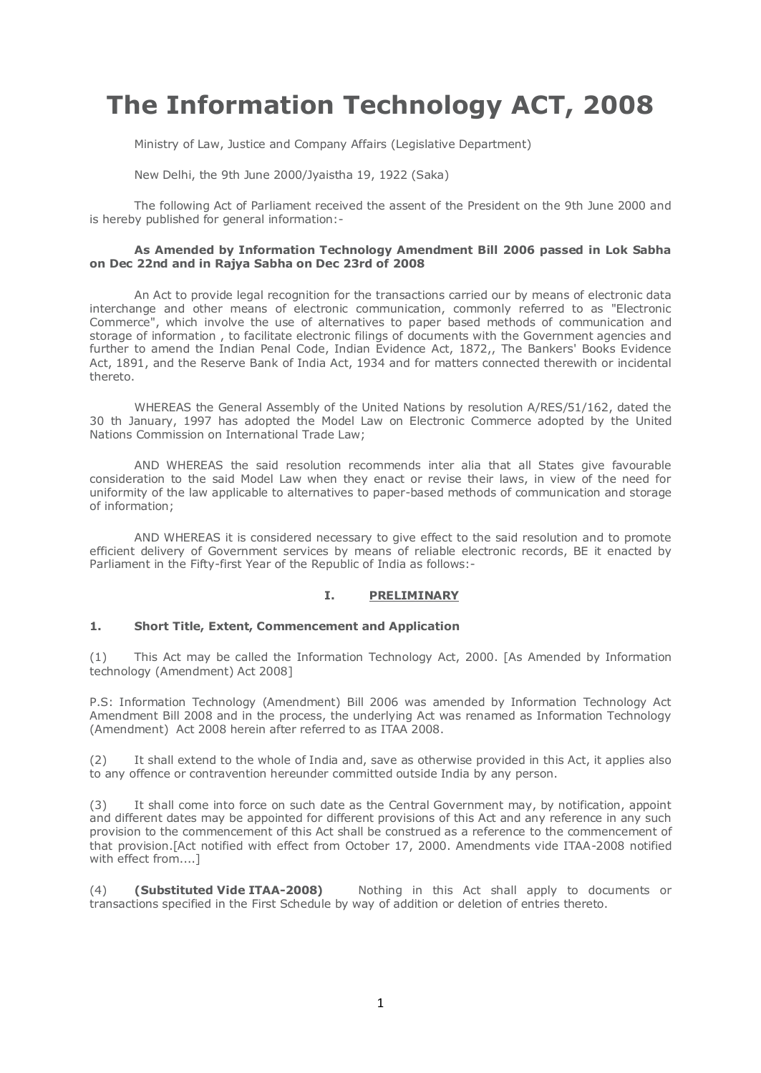# **The Information Technology ACT, 2008**

Ministry of Law, Justice and Company Affairs (Legislative Department)

New Delhi, the 9th June 2000/Jyaistha 19, 1922 (Saka)

The following Act of Parliament received the assent of the President on the 9th June 2000 and is hereby published for general information:-

#### **As Amended by Information Technology Amendment Bill 2006 passed in Lok Sabha on Dec 22nd and in Rajya Sabha on Dec 23rd of 2008**

An Act to provide legal recognition for the transactions carried our by means of electronic data interchange and other means of electronic communication, commonly referred to as "Electronic Commerce", which involve the use of alternatives to paper based methods of communication and storage of information , to facilitate electronic filings of documents with the Government agencies and further to amend the Indian Penal Code, Indian Evidence Act, 1872,, The Bankers' Books Evidence Act, 1891, and the Reserve Bank of India Act, 1934 and for matters connected therewith or incidental thereto.

WHEREAS the General Assembly of the United Nations by resolution A/RES/51/162, dated the 30 th January, 1997 has adopted the Model Law on Electronic Commerce adopted by the United Nations Commission on International Trade Law;

AND WHEREAS the said resolution recommends inter alia that all States give favourable consideration to the said Model Law when they enact or revise their laws, in view of the need for uniformity of the law applicable to alternatives to paper-based methods of communication and storage of information;

AND WHEREAS it is considered necessary to give effect to the said resolution and to promote efficient delivery of Government services by means of reliable electronic records, BE it enacted by Parliament in the Fifty-first Year of the Republic of India as follows:-

# **I. PRELIMINARY**

# **1. Short Title, Extent, Commencement and Application**

(1) This Act may be called the Information Technology Act, 2000. [As Amended by Information technology (Amendment) Act 2008]

P.S: Information Technology (Amendment) Bill 2006 was amended by Information Technology Act Amendment Bill 2008 and in the process, the underlying Act was renamed as Information Technology (Amendment) Act 2008 herein after referred to as ITAA 2008.

(2) It shall extend to the whole of India and, save as otherwise provided in this Act, it applies also to any offence or contravention hereunder committed outside India by any person.

(3) It shall come into force on such date as the Central Government may, by notification, appoint and different dates may be appointed for different provisions of this Act and any reference in any such provision to the commencement of this Act shall be construed as a reference to the commencement of that provision.[Act notified with effect from October 17, 2000. Amendments vide ITAA-2008 notified with effect from....]

(4) **(Substituted Vide ITAA-2008)** Nothing in this Act shall apply to documents or transactions specified in the First Schedule by way of addition or deletion of entries thereto.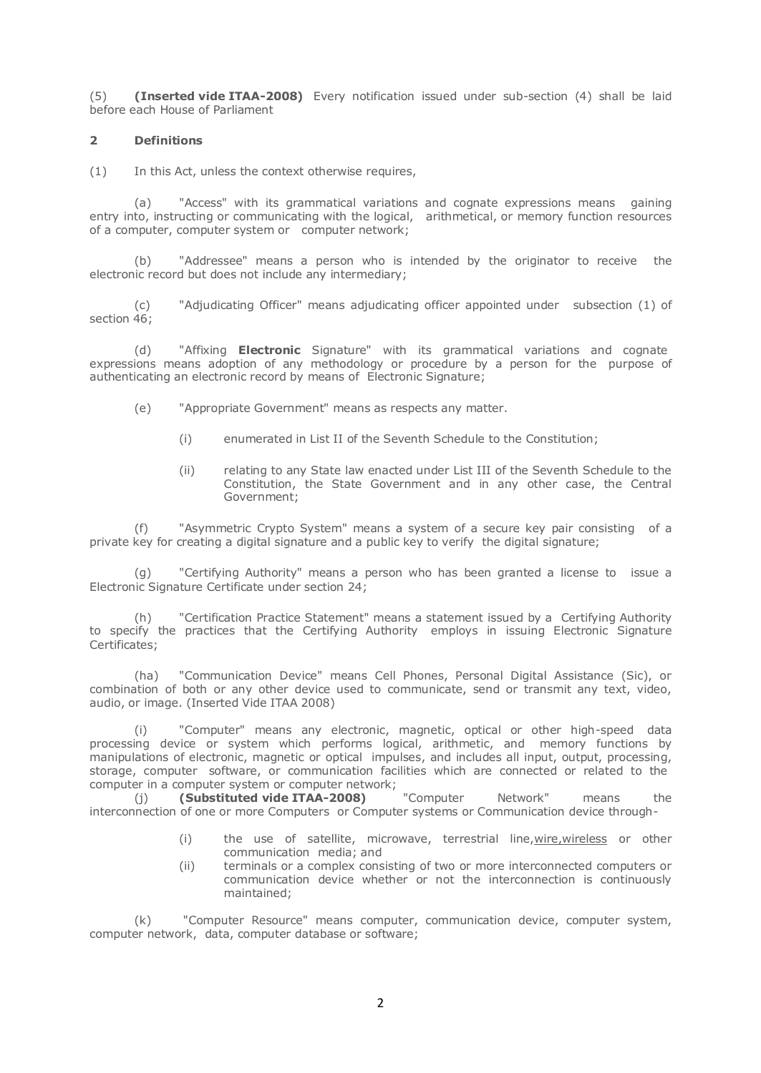(5) **(Inserted vide ITAA-2008)** Every notification issued under sub-section (4) shall be laid before each House of Parliament

# **2 Definitions**

(1) In this Act, unless the context otherwise requires,

(a) "Access" with its grammatical variations and cognate expressions means gaining entry into, instructing or communicating with the logical, arithmetical, or memory function resources of a computer, computer system or computer network;

(b) "Addressee" means a person who is intended by the originator to receive the electronic record but does not include any intermediary;

(c) "Adjudicating Officer" means adjudicating officer appointed under subsection (1) of section 46;

(d) "Affixing **Electronic** Signature" with its grammatical variations and cognate expressions means adoption of any methodology or procedure by a person for the purpose of authenticating an electronic record by means of Electronic Signature;

- (e) "Appropriate Government" means as respects any matter.
	- (i) enumerated in List II of the Seventh Schedule to the Constitution;
	- (ii) relating to any State law enacted under List III of the Seventh Schedule to the Constitution, the State Government and in any other case, the Central Government;

(f) "Asymmetric Crypto System" means a system of a secure key pair consisting of a private key for creating a digital signature and a public key to verify the digital signature;

(g) "Certifying Authority" means a person who has been granted a license to issue a Electronic Signature Certificate under section 24;

(h) "Certification Practice Statement" means a statement issued by a Certifying Authority to specify the practices that the Certifying Authority employs in issuing Electronic Signature Certificates;

(ha) "Communication Device" means Cell Phones, Personal Digital Assistance (Sic), or combination of both or any other device used to communicate, send or transmit any text, video, audio, or image. (Inserted Vide ITAA 2008)

(i) "Computer" means any electronic, magnetic, optical or other high-speed data processing device or system which performs logical, arithmetic, and memory functions by manipulations of electronic, magnetic or optical impulses, and includes all input, output, processing, storage, computer software, or communication facilities which are connected or related to the computer in a computer system or computer network;

(j) **(Substituted vide ITAA-2008)** "Computer Network" means the interconnection of one or more Computers or Computer systems or Communication device through-

- (i) the use of satellite, microwave, terrestrial line, wire, wireless or other communication media; and
- (ii) terminals or a complex consisting of two or more interconnected computers or communication device whether or not the interconnection is continuously maintained;

(k) "Computer Resource" means computer, communication device, computer system, computer network, data, computer database or software;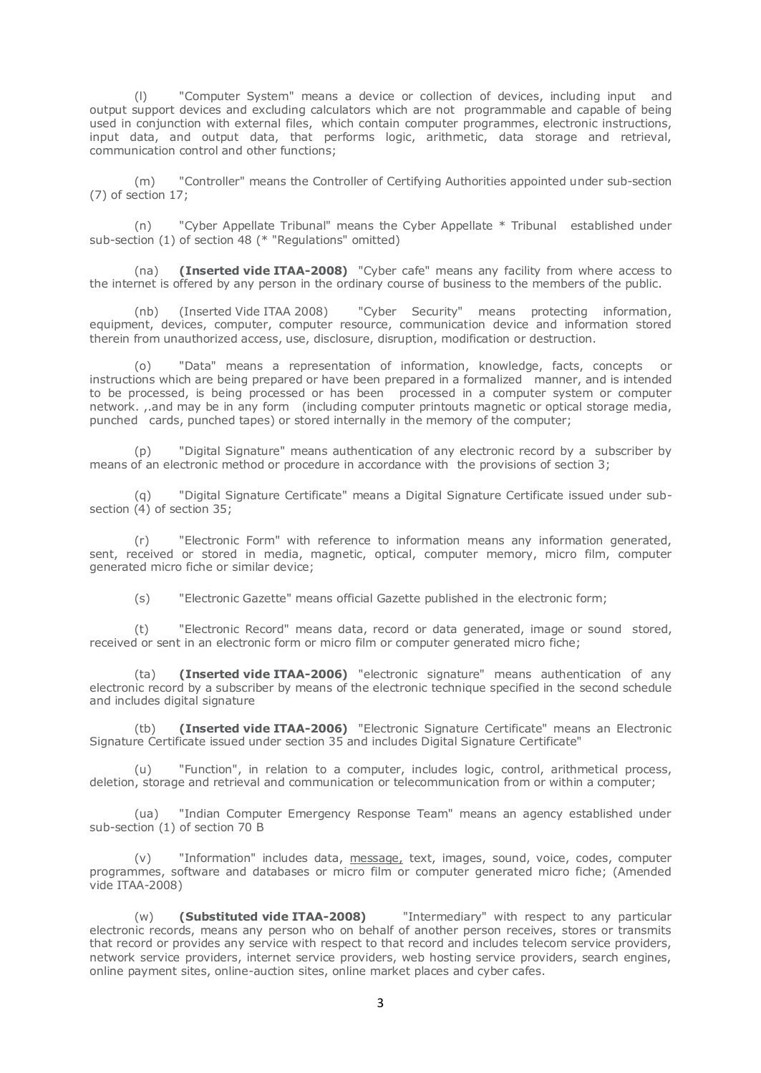(l) "Computer System" means a device or collection of devices, including input and output support devices and excluding calculators which are not programmable and capable of being used in conjunction with external files, which contain computer programmes, electronic instructions, input data, and output data, that performs logic, arithmetic, data storage and retrieval, communication control and other functions;

(m) "Controller" means the Controller of Certifying Authorities appointed under sub-section (7) of section 17;

(n) "Cyber Appellate Tribunal" means the Cyber Appellate \* Tribunal established under sub-section (1) of section 48 (\* "Regulations" omitted)

(na) **(Inserted vide ITAA-2008)** "Cyber cafe" means any facility from where access to the internet is offered by any person in the ordinary course of business to the members of the public.

(nb) (Inserted Vide ITAA 2008) "Cyber Security" means protecting information, equipment, devices, computer, computer resource, communication device and information stored therein from unauthorized access, use, disclosure, disruption, modification or destruction.

(o) "Data" means a representation of information, knowledge, facts, concepts or instructions which are being prepared or have been prepared in a formalized manner, and is intended to be processed, is being processed or has been processed in a computer system or computer network. ,.and may be in any form (including computer printouts magnetic or optical storage media, punched cards, punched tapes) or stored internally in the memory of the computer;

(p) "Digital Signature" means authentication of any electronic record by a subscriber by means of an electronic method or procedure in accordance with the provisions of section 3;

(q) "Digital Signature Certificate" means a Digital Signature Certificate issued under subsection (4) of section 35;

(r) "Electronic Form" with reference to information means any information generated, sent, received or stored in media, magnetic, optical, computer memory, micro film, computer generated micro fiche or similar device;

(s) "Electronic Gazette" means official Gazette published in the electronic form;

(t) "Electronic Record" means data, record or data generated, image or sound stored, received or sent in an electronic form or micro film or computer generated micro fiche;

(ta) **(Inserted vide ITAA-2006)** "electronic signature" means authentication of any electronic record by a subscriber by means of the electronic technique specified in the second schedule and includes digital signature

(tb) **(Inserted vide ITAA-2006)** "Electronic Signature Certificate" means an Electronic Signature Certificate issued under section 35 and includes Digital Signature Certificate"

(u) "Function", in relation to a computer, includes logic, control, arithmetical process, deletion, storage and retrieval and communication or telecommunication from or within a computer;

(ua) "Indian Computer Emergency Response Team" means an agency established under sub-section (1) of section 70 B

(v) "Information" includes data, message, text, images, sound, voice, codes, computer programmes, software and databases or micro film or computer generated micro fiche; (Amended vide ITAA-2008)

(w) **(Substituted vide ITAA-2008)** "Intermediary" with respect to any particular electronic records, means any person who on behalf of another person receives, stores or transmits that record or provides any service with respect to that record and includes telecom service providers, network service providers, internet service providers, web hosting service providers, search engines, online payment sites, online-auction sites, online market places and cyber cafes.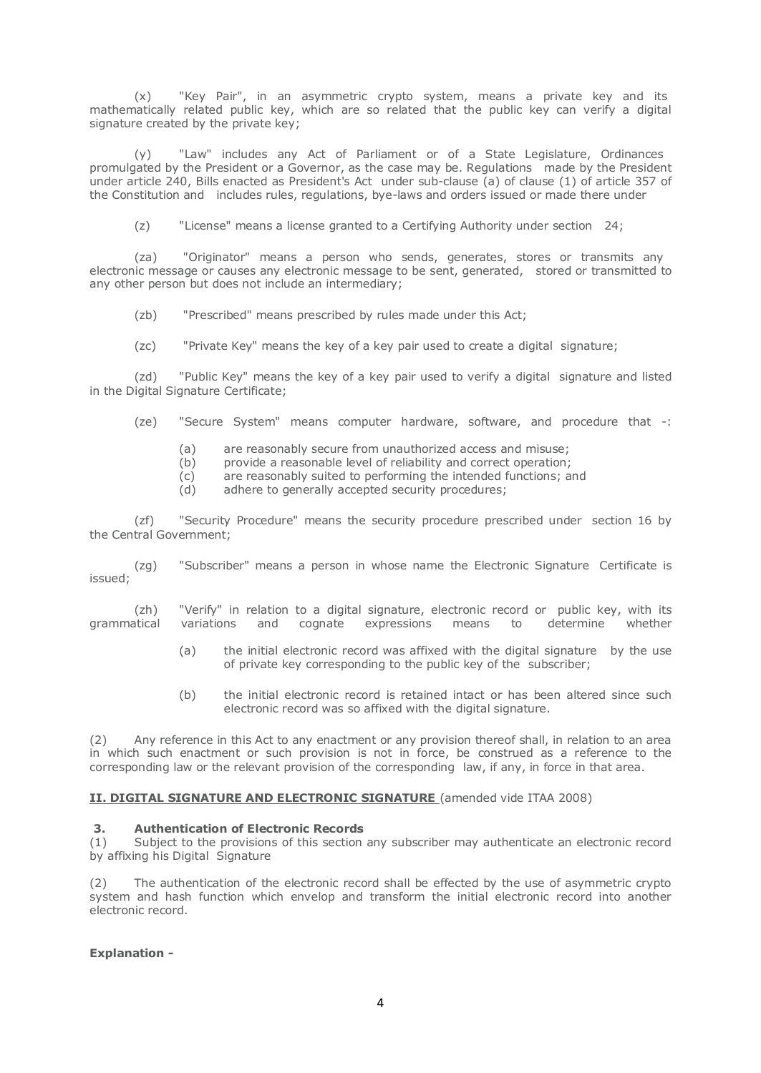(x) "Key Pair", in an asymmetric crypto system, means a private key and its mathematically related public key, which are so related that the public key can verify a digital signature created by the private key;

(y) "Law" includes any Act of Parliament or of a State Legislature, Ordinances promulgated by the President or a Governor, as the case may be. Regulations made by the President under article 240, Bills enacted as President's Act under sub-clause (a) of clause (1) of article 357 of the Constitution and includes rules, regulations, bye-laws and orders issued or made there under

(z) "License" means a license granted to a Certifying Authority under section 24;

(za) "Originator" means a person who sends, generates, stores or transmits any electronic message or causes any electronic message to be sent, generated, stored or transmitted to any other person but does not include an intermediary;

(zb) "Prescribed" means prescribed by rules made under this Act;

(zc) "Private Key" means the key of a key pair used to create a digital signature;

(zd) "Public Key" means the key of a key pair used to verify a digital signature and listed in the Digital Signature Certificate;

(ze) "Secure System" means computer hardware, software, and procedure that -:

- (a) are reasonably secure from unauthorized access and misuse;
- (b) provide a reasonable level of reliability and correct operation;
- (c) are reasonably suited to performing the intended functions; and
- (d) adhere to generally accepted security procedures;

(zf) "Security Procedure" means the security procedure prescribed under section 16 by the Central Government;

(zg) "Subscriber" means a person in whose name the Electronic Signature Certificate is issued;

(zh) "Verify" in relation to a digital signature, electronic record or public key, with its grammatical variations and cognate expressions means to determine whether

- (a) the initial electronic record was affixed with the digital signature by the use of private key corresponding to the public key of the subscriber;
- (b) the initial electronic record is retained intact or has been altered since such electronic record was so affixed with the digital signature.

(2) Any reference in this Act to any enactment or any provision thereof shall, in relation to an area in which such enactment or such provision is not in force, be construed as a reference to the corresponding law or the relevant provision of the corresponding law, if any, in force in that area.

# **II. DIGITAL SIGNATURE AND ELECTRONIC SIGNATURE** (amended vide ITAA 2008)

# **3. Authentication of Electronic Records**

(1) Subject to the provisions of this section any subscriber may authenticate an electronic record by affixing his Digital Signature

(2) The authentication of the electronic record shall be effected by the use of asymmetric crypto system and hash function which envelop and transform the initial electronic record into another electronic record.

# **Explanation -**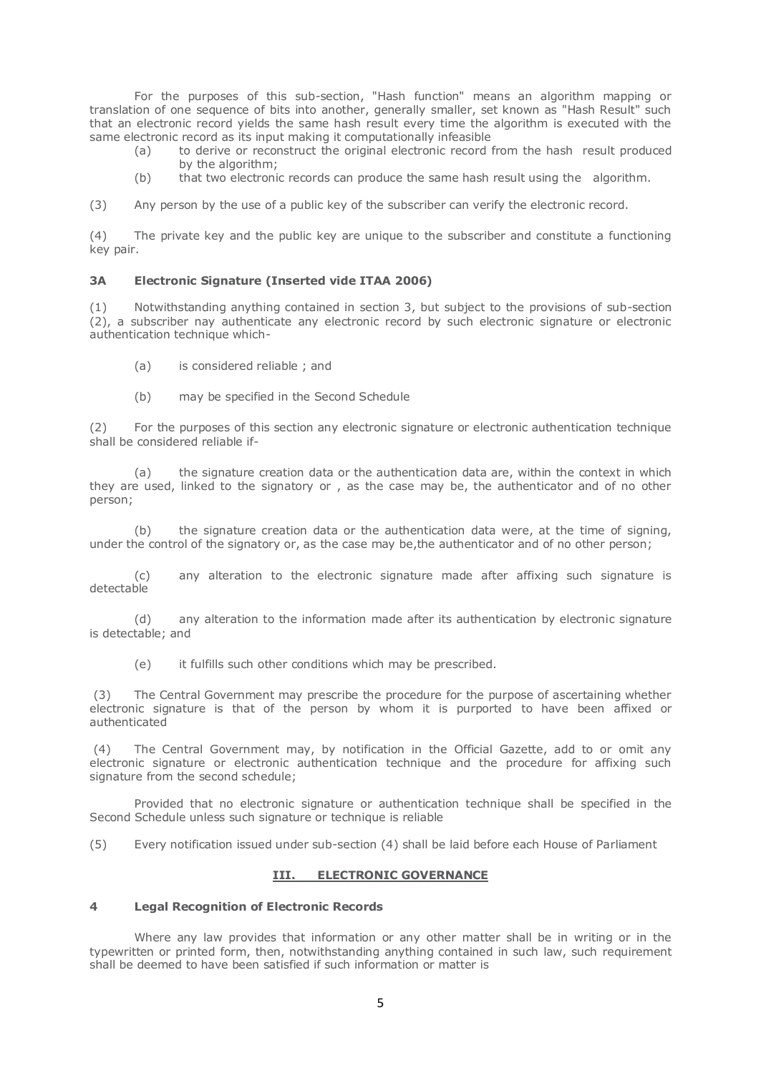For the purposes of this sub-section, "Hash function" means an algorithm mapping or translation of one sequence of bits into another, generally smaller, set known as "Hash Result" such that an electronic record yields the same hash result every time the algorithm is executed with the same electronic record as its input making it computationally infeasible

- (a) to derive or reconstruct the original electronic record from the hash result produced by the algorithm;
- (b) that two electronic records can produce the same hash result using the algorithm.

(3) Any person by the use of a public key of the subscriber can verify the electronic record.

(4) The private key and the public key are unique to the subscriber and constitute a functioning key pair.

#### **3A Electronic Signature (Inserted vide ITAA 2006)**

(1) Notwithstanding anything contained in section 3, but subject to the provisions of sub-section (2), a subscriber nay authenticate any electronic record by such electronic signature or electronic authentication technique which-

- (a) is considered reliable ; and
- (b) may be specified in the Second Schedule

(2) For the purposes of this section any electronic signature or electronic authentication technique shall be considered reliable if-

(a) the signature creation data or the authentication data are, within the context in which they are used, linked to the signatory or , as the case may be, the authenticator and of no other person;

(b) the signature creation data or the authentication data were, at the time of signing, under the control of the signatory or, as the case may be,the authenticator and of no other person;

(c) any alteration to the electronic signature made after affixing such signature is detectable

(d) any alteration to the information made after its authentication by electronic signature is detectable; and

(e) it fulfills such other conditions which may be prescribed.

(3) The Central Government may prescribe the procedure for the purpose of ascertaining whether electronic signature is that of the person by whom it is purported to have been affixed or authenticated

(4) The Central Government may, by notification in the Official Gazette, add to or omit any electronic signature or electronic authentication technique and the procedure for affixing such signature from the second schedule;

Provided that no electronic signature or authentication technique shall be specified in the Second Schedule unless such signature or technique is reliable

(5) Every notification issued under sub-section (4) shall be laid before each House of Parliament

# **III. ELECTRONIC GOVERNANCE**

#### **4 Legal Recognition of Electronic Records**

Where any law provides that information or any other matter shall be in writing or in the typewritten or printed form, then, notwithstanding anything contained in such law, such requirement shall be deemed to have been satisfied if such information or matter is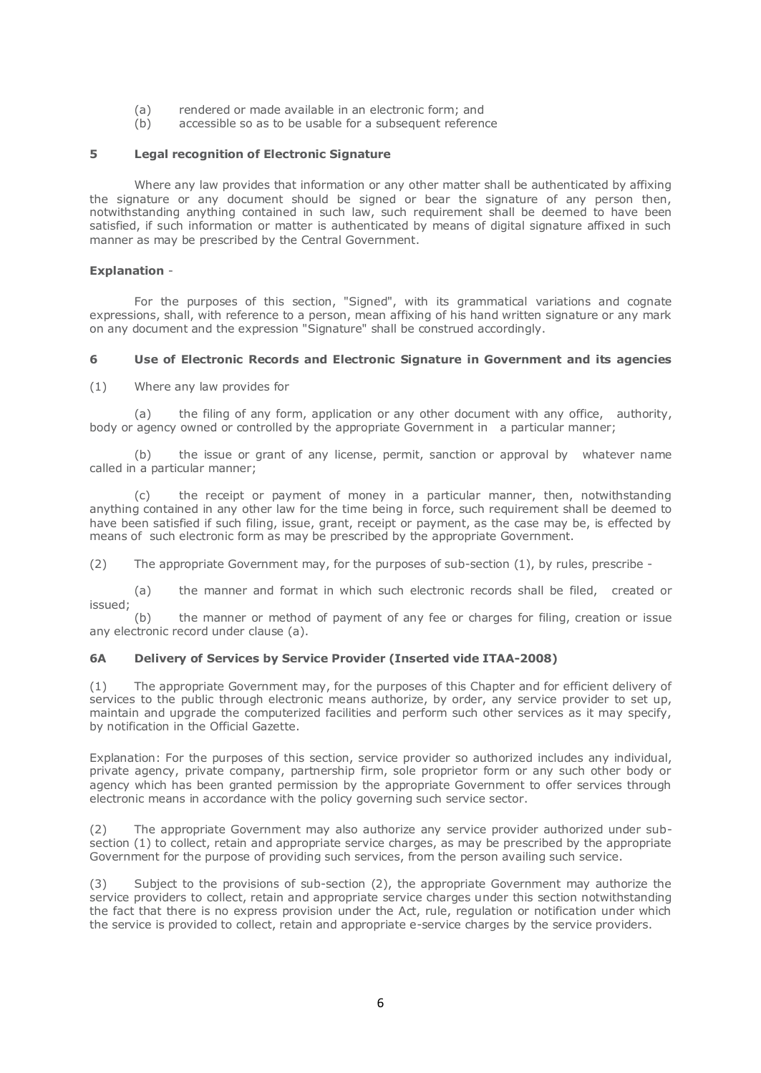- (a) rendered or made available in an electronic form; and
- (b) accessible so as to be usable for a subsequent reference

# **5 Legal recognition of Electronic Signature**

Where any law provides that information or any other matter shall be authenticated by affixing the signature or any document should be signed or bear the signature of any person then, notwithstanding anything contained in such law, such requirement shall be deemed to have been satisfied, if such information or matter is authenticated by means of digital signature affixed in such manner as may be prescribed by the Central Government.

# **Explanation** -

For the purposes of this section, "Signed", with its grammatical variations and cognate expressions, shall, with reference to a person, mean affixing of his hand written signature or any mark on any document and the expression "Signature" shall be construed accordingly.

# **6 Use of Electronic Records and Electronic Signature in Government and its agencies**

(1) Where any law provides for

(a) the filing of any form, application or any other document with any office, authority, body or agency owned or controlled by the appropriate Government in a particular manner;

(b) the issue or grant of any license, permit, sanction or approval by whatever name called in a particular manner;

(c) the receipt or payment of money in a particular manner, then, notwithstanding anything contained in any other law for the time being in force, such requirement shall be deemed to have been satisfied if such filing, issue, grant, receipt or payment, as the case may be, is effected by means of such electronic form as may be prescribed by the appropriate Government.

(2) The appropriate Government may, for the purposes of sub-section (1), by rules, prescribe -

(a) the manner and format in which such electronic records shall be filed, created or issued;

(b) the manner or method of payment of any fee or charges for filing, creation or issue any electronic record under clause (a).

# **6A Delivery of Services by Service Provider (Inserted vide ITAA-2008)**

(1) The appropriate Government may, for the purposes of this Chapter and for efficient delivery of services to the public through electronic means authorize, by order, any service provider to set up, maintain and upgrade the computerized facilities and perform such other services as it may specify, by notification in the Official Gazette.

Explanation: For the purposes of this section, service provider so authorized includes any individual, private agency, private company, partnership firm, sole proprietor form or any such other body or agency which has been granted permission by the appropriate Government to offer services through electronic means in accordance with the policy governing such service sector.

(2) The appropriate Government may also authorize any service provider authorized under subsection (1) to collect, retain and appropriate service charges, as may be prescribed by the appropriate Government for the purpose of providing such services, from the person availing such service.

(3) Subject to the provisions of sub-section (2), the appropriate Government may authorize the service providers to collect, retain and appropriate service charges under this section notwithstanding the fact that there is no express provision under the Act, rule, regulation or notification under which the service is provided to collect, retain and appropriate e-service charges by the service providers.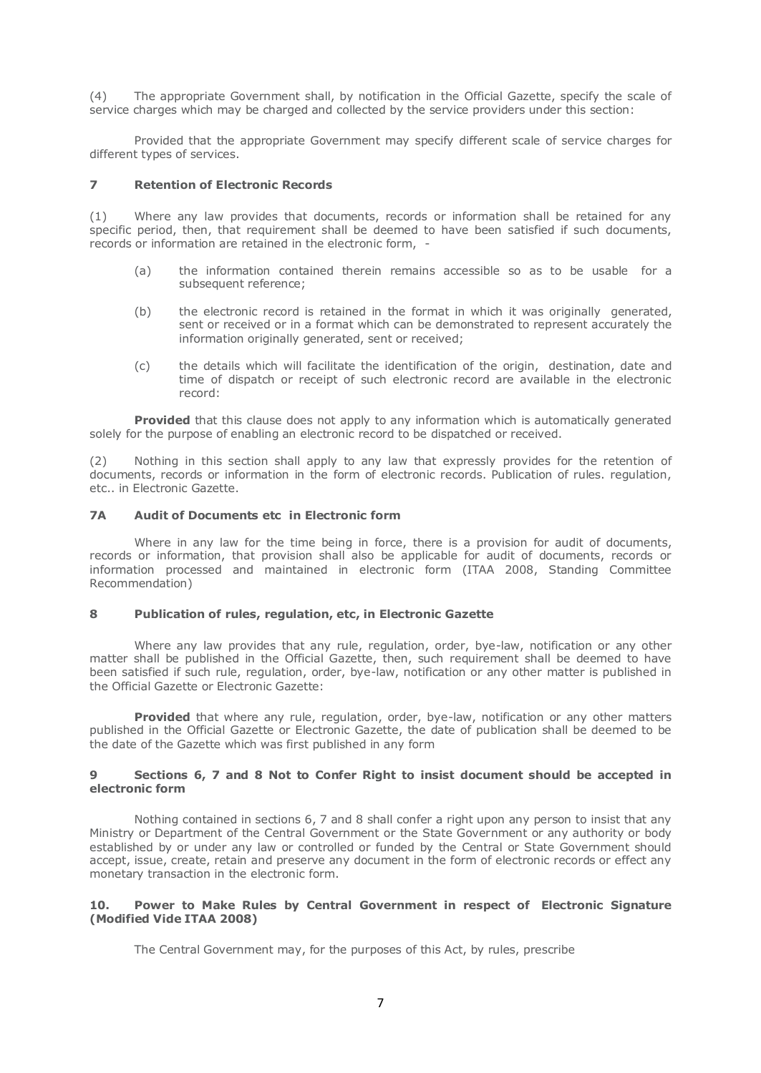(4) The appropriate Government shall, by notification in the Official Gazette, specify the scale of service charges which may be charged and collected by the service providers under this section:

Provided that the appropriate Government may specify different scale of service charges for different types of services.

#### **7 Retention of Electronic Records**

(1) Where any law provides that documents, records or information shall be retained for any specific period, then, that requirement shall be deemed to have been satisfied if such documents, records or information are retained in the electronic form, -

- (a) the information contained therein remains accessible so as to be usable for a subsequent reference;
- (b) the electronic record is retained in the format in which it was originally generated, sent or received or in a format which can be demonstrated to represent accurately the information originally generated, sent or received;
- (c) the details which will facilitate the identification of the origin, destination, date and time of dispatch or receipt of such electronic record are available in the electronic record:

**Provided** that this clause does not apply to any information which is automatically generated solely for the purpose of enabling an electronic record to be dispatched or received.

(2) Nothing in this section shall apply to any law that expressly provides for the retention of documents, records or information in the form of electronic records. Publication of rules. regulation, etc.. in Electronic Gazette.

#### **7A Audit of Documents etc in Electronic form**

Where in any law for the time being in force, there is a provision for audit of documents, records or information, that provision shall also be applicable for audit of documents, records or information processed and maintained in electronic form (ITAA 2008, Standing Committee Recommendation)

#### **8 Publication of rules, regulation, etc, in Electronic Gazette**

Where any law provides that any rule, regulation, order, bye-law, notification or any other matter shall be published in the Official Gazette, then, such requirement shall be deemed to have been satisfied if such rule, regulation, order, bye-law, notification or any other matter is published in the Official Gazette or Electronic Gazette:

**Provided** that where any rule, regulation, order, bye-law, notification or any other matters published in the Official Gazette or Electronic Gazette, the date of publication shall be deemed to be the date of the Gazette which was first published in any form

#### **9 Sections 6, 7 and 8 Not to Confer Right to insist document should be accepted in electronic form**

Nothing contained in sections 6, 7 and 8 shall confer a right upon any person to insist that any Ministry or Department of the Central Government or the State Government or any authority or body established by or under any law or controlled or funded by the Central or State Government should accept, issue, create, retain and preserve any document in the form of electronic records or effect any monetary transaction in the electronic form.

#### **10. Power to Make Rules by Central Government in respect of Electronic Signature (Modified Vide ITAA 2008)**

The Central Government may, for the purposes of this Act, by rules, prescribe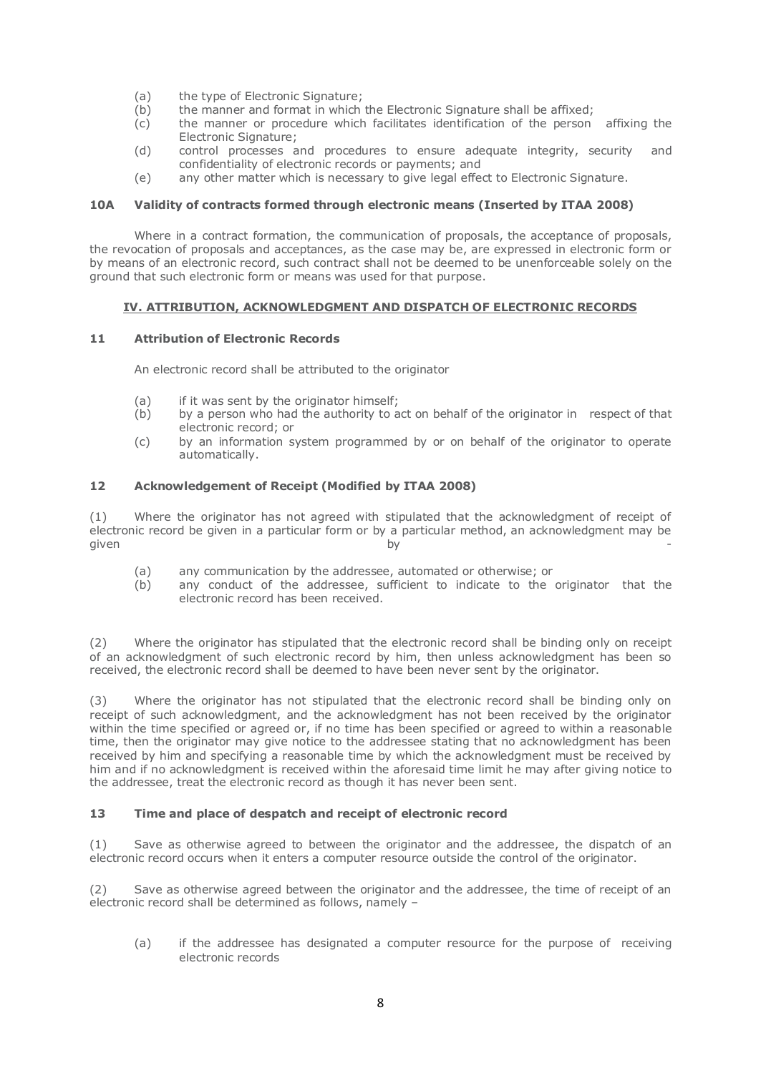- (a) the type of Electronic Signature;
- (b) the manner and format in which the Electronic Signature shall be affixed;
- (c) the manner or procedure which facilitates identification of the person affixing the Electronic Signature;
- (d) control processes and procedures to ensure adequate integrity, security and confidentiality of electronic records or payments; and
- (e) any other matter which is necessary to give legal effect to Electronic Signature.

#### **10A Validity of contracts formed through electronic means (Inserted by ITAA 2008)**

Where in a contract formation, the communication of proposals, the acceptance of proposals, the revocation of proposals and acceptances, as the case may be, are expressed in electronic form or by means of an electronic record, such contract shall not be deemed to be unenforceable solely on the ground that such electronic form or means was used for that purpose.

# **IV. ATTRIBUTION, ACKNOWLEDGMENT AND DISPATCH OF ELECTRONIC RECORDS**

# **11 Attribution of Electronic Records**

An electronic record shall be attributed to the originator

- (a) if it was sent by the originator himself;
- (b) by a person who had the authority to act on behalf of the originator in respect of that electronic record; or
- (c) by an information system programmed by or on behalf of the originator to operate automatically.

# **12 Acknowledgement of Receipt (Modified by ITAA 2008)**

(1) Where the originator has not agreed with stipulated that the acknowledgment of receipt of electronic record be given in a particular form or by a particular method, an acknowledgment may be given the control of the control of the control of the control of the control of the control of the control of the control of the control of the control of the control of the control of the control of the control of the co

- (a) any communication by the addressee, automated or otherwise; or
- (b) any conduct of the addressee, sufficient to indicate to the originator that the electronic record has been received.

(2) Where the originator has stipulated that the electronic record shall be binding only on receipt of an acknowledgment of such electronic record by him, then unless acknowledgment has been so received, the electronic record shall be deemed to have been never sent by the originator.

(3) Where the originator has not stipulated that the electronic record shall be binding only on receipt of such acknowledgment, and the acknowledgment has not been received by the originator within the time specified or agreed or, if no time has been specified or agreed to within a reasonable time, then the originator may give notice to the addressee stating that no acknowledgment has been received by him and specifying a reasonable time by which the acknowledgment must be received by him and if no acknowledgment is received within the aforesaid time limit he may after giving notice to the addressee, treat the electronic record as though it has never been sent.

# **13 Time and place of despatch and receipt of electronic record**

(1) Save as otherwise agreed to between the originator and the addressee, the dispatch of an electronic record occurs when it enters a computer resource outside the control of the originator.

(2) Save as otherwise agreed between the originator and the addressee, the time of receipt of an electronic record shall be determined as follows, namely –

(a) if the addressee has designated a computer resource for the purpose of receiving electronic records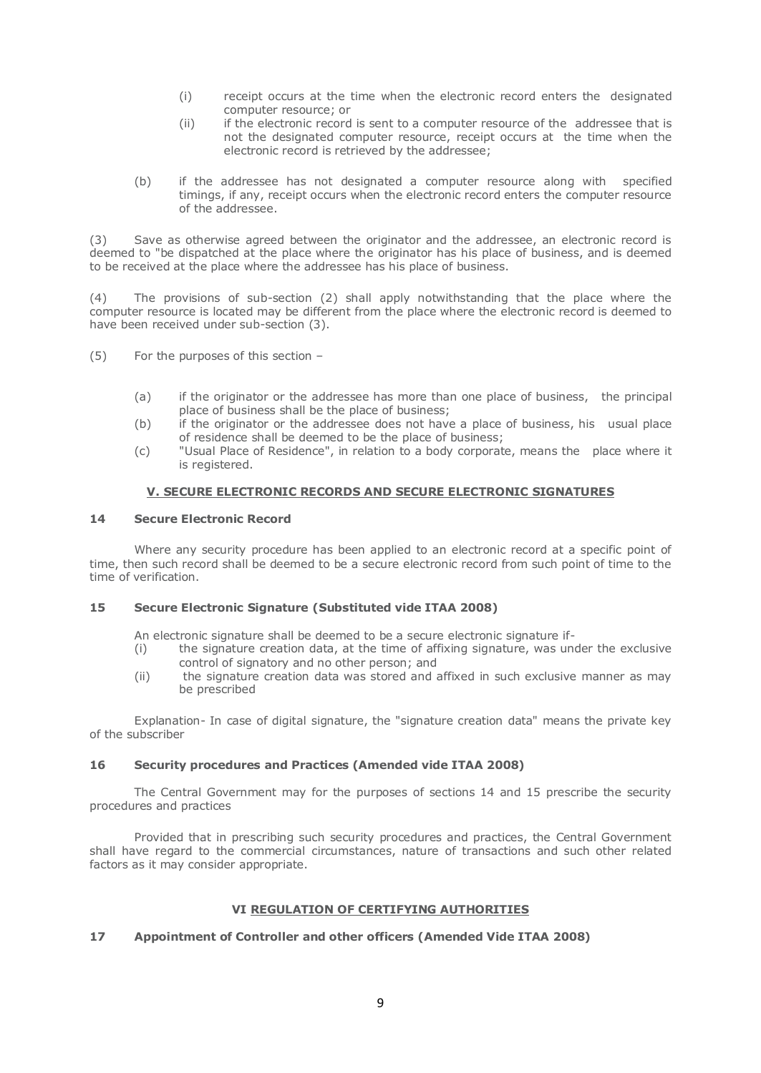- (i) receipt occurs at the time when the electronic record enters the designated computer resource; or
- (ii) if the electronic record is sent to a computer resource of the addressee that is not the designated computer resource, receipt occurs at the time when the electronic record is retrieved by the addressee;
- (b) if the addressee has not designated a computer resource along with specified timings, if any, receipt occurs when the electronic record enters the computer resource of the addressee.

(3) Save as otherwise agreed between the originator and the addressee, an electronic record is deemed to "be dispatched at the place where the originator has his place of business, and is deemed to be received at the place where the addressee has his place of business.

(4) The provisions of sub-section (2) shall apply notwithstanding that the place where the computer resource is located may be different from the place where the electronic record is deemed to have been received under sub-section (3).

- (5) For the purposes of this section
	- (a) if the originator or the addressee has more than one place of business, the principal place of business shall be the place of business;
	- (b) if the originator or the addressee does not have a place of business, his usual place of residence shall be deemed to be the place of business;
	- (c) "Usual Place of Residence", in relation to a body corporate, means the place where it is registered.

# **V. SECURE ELECTRONIC RECORDS AND SECURE ELECTRONIC SIGNATURES**

#### **14 Secure Electronic Record**

Where any security procedure has been applied to an electronic record at a specific point of time, then such record shall be deemed to be a secure electronic record from such point of time to the time of verification.

# **15 Secure Electronic Signature (Substituted vide ITAA 2008)**

An electronic signature shall be deemed to be a secure electronic signature if-

- (i) the signature creation data, at the time of affixing signature, was under the exclusive control of signatory and no other person; and
- (ii) the signature creation data was stored and affixed in such exclusive manner as may be prescribed

Explanation- In case of digital signature, the "signature creation data" means the private key of the subscriber

# **16 Security procedures and Practices (Amended vide ITAA 2008)**

The Central Government may for the purposes of sections 14 and 15 prescribe the security procedures and practices

Provided that in prescribing such security procedures and practices, the Central Government shall have regard to the commercial circumstances, nature of transactions and such other related factors as it may consider appropriate.

# **VI REGULATION OF CERTIFYING AUTHORITIES**

# **17 Appointment of Controller and other officers (Amended Vide ITAA 2008)**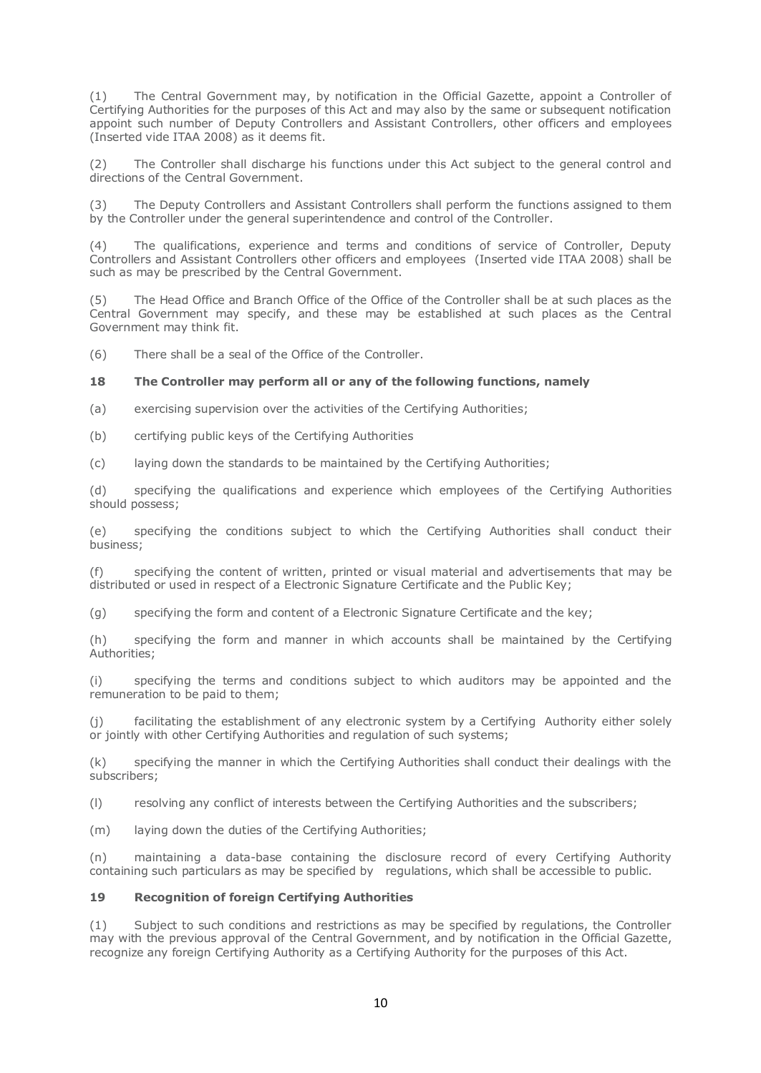(1) The Central Government may, by notification in the Official Gazette, appoint a Controller of Certifying Authorities for the purposes of this Act and may also by the same or subsequent notification appoint such number of Deputy Controllers and Assistant Controllers, other officers and employees (Inserted vide ITAA 2008) as it deems fit.

(2) The Controller shall discharge his functions under this Act subject to the general control and directions of the Central Government.

(3) The Deputy Controllers and Assistant Controllers shall perform the functions assigned to them by the Controller under the general superintendence and control of the Controller.

(4) The qualifications, experience and terms and conditions of service of Controller, Deputy Controllers and Assistant Controllers other officers and employees (Inserted vide ITAA 2008) shall be such as may be prescribed by the Central Government.

(5) The Head Office and Branch Office of the Office of the Controller shall be at such places as the Central Government may specify, and these may be established at such places as the Central Government may think fit.

(6) There shall be a seal of the Office of the Controller.

#### **18 The Controller may perform all or any of the following functions, namely**

(a) exercising supervision over the activities of the Certifying Authorities;

(b) certifying public keys of the Certifying Authorities

(c) laying down the standards to be maintained by the Certifying Authorities;

(d) specifying the qualifications and experience which employees of the Certifying Authorities should possess;

(e) specifying the conditions subject to which the Certifying Authorities shall conduct their business;

(f) specifying the content of written, printed or visual material and advertisements that may be distributed or used in respect of a Electronic Signature Certificate and the Public Key;

(g) specifying the form and content of a Electronic Signature Certificate and the key;

(h) specifying the form and manner in which accounts shall be maintained by the Certifying Authorities;

(i) specifying the terms and conditions subject to which auditors may be appointed and the remuneration to be paid to them;

(j) facilitating the establishment of any electronic system by a Certifying Authority either solely or jointly with other Certifying Authorities and regulation of such systems;

(k) specifying the manner in which the Certifying Authorities shall conduct their dealings with the subscribers;

(l) resolving any conflict of interests between the Certifying Authorities and the subscribers;

(m) laying down the duties of the Certifying Authorities;

(n) maintaining a data-base containing the disclosure record of every Certifying Authority containing such particulars as may be specified by regulations, which shall be accessible to public.

# **19 Recognition of foreign Certifying Authorities**

(1) Subject to such conditions and restrictions as may be specified by regulations, the Controller may with the previous approval of the Central Government, and by notification in the Official Gazette, recognize any foreign Certifying Authority as a Certifying Authority for the purposes of this Act.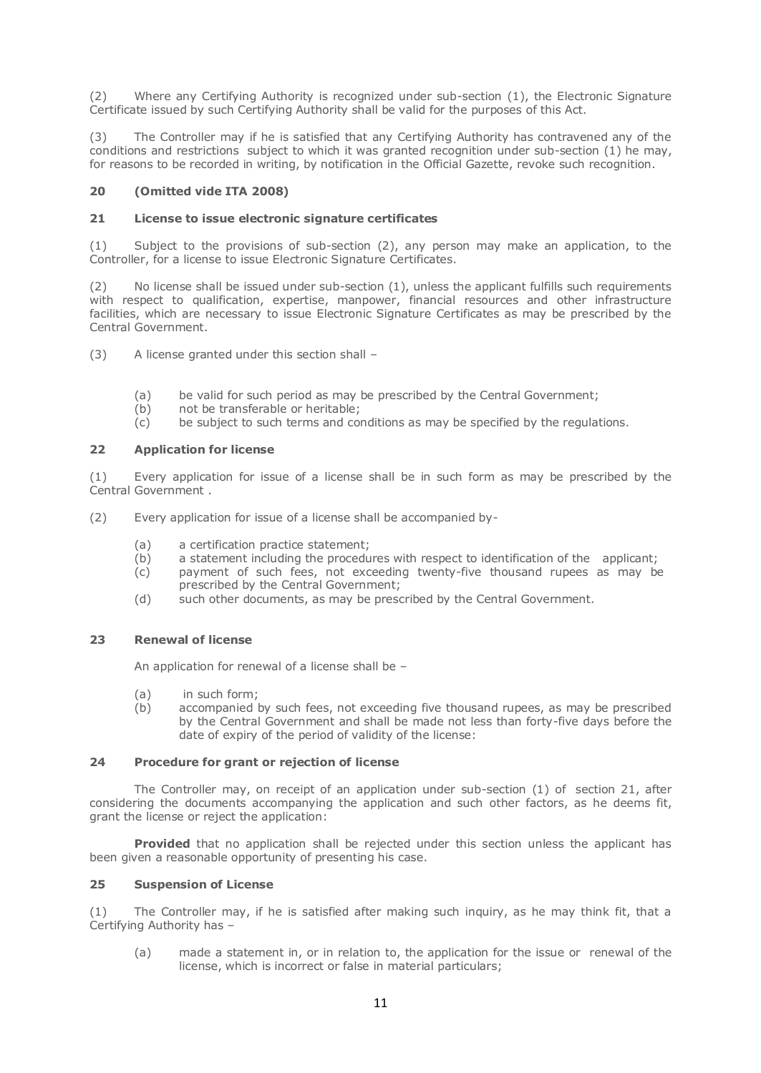(2) Where any Certifying Authority is recognized under sub-section (1), the Electronic Signature Certificate issued by such Certifying Authority shall be valid for the purposes of this Act.

(3) The Controller may if he is satisfied that any Certifying Authority has contravened any of the conditions and restrictions subject to which it was granted recognition under sub-section (1) he may, for reasons to be recorded in writing, by notification in the Official Gazette, revoke such recognition.

# **20 (Omitted vide ITA 2008)**

#### **21 License to issue electronic signature certificates**

(1) Subject to the provisions of sub-section (2), any person may make an application, to the Controller, for a license to issue Electronic Signature Certificates.

(2) No license shall be issued under sub-section (1), unless the applicant fulfills such requirements with respect to qualification, expertise, manpower, financial resources and other infrastructure facilities, which are necessary to issue Electronic Signature Certificates as may be prescribed by the Central Government.

(3) A license granted under this section shall –

- (a) be valid for such period as may be prescribed by the Central Government;<br>(b) not be transferable or heritable;
- not be transferable or heritable;
- (c) be subject to such terms and conditions as may be specified by the regulations.

#### **22 Application for license**

(1) Every application for issue of a license shall be in such form as may be prescribed by the Central Government .

(2) Every application for issue of a license shall be accompanied by-

- (a) a certification practice statement;
- (b) a statement including the procedures with respect to identification of the applicant;
- (c) payment of such fees, not exceeding twenty-five thousand rupees as may be prescribed by the Central Government;
- (d) such other documents, as may be prescribed by the Central Government.

# **23 Renewal of license**

An application for renewal of a license shall be –

- (a) in such form;
- (b) accompanied by such fees, not exceeding five thousand rupees, as may be prescribed by the Central Government and shall be made not less than forty-five days before the date of expiry of the period of validity of the license:

#### **24 Procedure for grant or rejection of license**

The Controller may, on receipt of an application under sub-section (1) of section 21, after considering the documents accompanying the application and such other factors, as he deems fit, grant the license or reject the application:

**Provided** that no application shall be rejected under this section unless the applicant has been given a reasonable opportunity of presenting his case.

#### **25 Suspension of License**

(1) The Controller may, if he is satisfied after making such inquiry, as he may think fit, that a Certifying Authority has –

(a) made a statement in, or in relation to, the application for the issue or renewal of the license, which is incorrect or false in material particulars;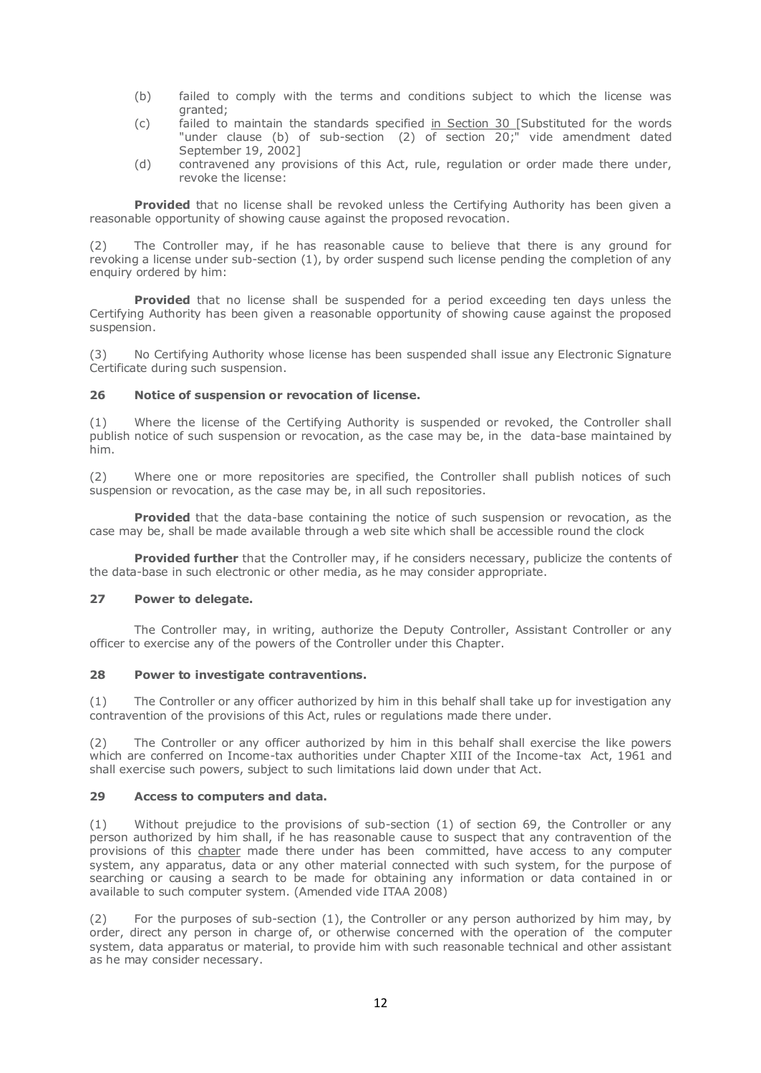- (b) failed to comply with the terms and conditions subject to which the license was granted;
- (c) failed to maintain the standards specified in Section 30 [Substituted for the words "under clause (b) of sub-section (2) of section 20;" vide amendment dated September 19, 2002]
- (d) contravened any provisions of this Act, rule, regulation or order made there under, revoke the license:

**Provided** that no license shall be revoked unless the Certifying Authority has been given a reasonable opportunity of showing cause against the proposed revocation.

(2) The Controller may, if he has reasonable cause to believe that there is any ground for revoking a license under sub-section (1), by order suspend such license pending the completion of any enquiry ordered by him:

**Provided** that no license shall be suspended for a period exceeding ten days unless the Certifying Authority has been given a reasonable opportunity of showing cause against the proposed suspension.

(3) No Certifying Authority whose license has been suspended shall issue any Electronic Signature Certificate during such suspension.

#### **26 Notice of suspension or revocation of license.**

(1) Where the license of the Certifying Authority is suspended or revoked, the Controller shall publish notice of such suspension or revocation, as the case may be, in the data-base maintained by him.

(2) Where one or more repositories are specified, the Controller shall publish notices of such suspension or revocation, as the case may be, in all such repositories.

**Provided** that the data-base containing the notice of such suspension or revocation, as the case may be, shall be made available through a web site which shall be accessible round the clock

**Provided further** that the Controller may, if he considers necessary, publicize the contents of the data-base in such electronic or other media, as he may consider appropriate.

#### **27 Power to delegate.**

The Controller may, in writing, authorize the Deputy Controller, Assistant Controller or any officer to exercise any of the powers of the Controller under this Chapter.

#### **28 Power to investigate contraventions.**

(1) The Controller or any officer authorized by him in this behalf shall take up for investigation any contravention of the provisions of this Act, rules or regulations made there under.

The Controller or any officer authorized by him in this behalf shall exercise the like powers which are conferred on Income-tax authorities under Chapter XIII of the Income-tax Act, 1961 and shall exercise such powers, subject to such limitations laid down under that Act.

#### **29 Access to computers and data.**

(1) Without prejudice to the provisions of sub-section (1) of section 69, the Controller or any person authorized by him shall, if he has reasonable cause to suspect that any contravention of the provisions of this chapter made there under has been committed, have access to any computer system, any apparatus, data or any other material connected with such system, for the purpose of searching or causing a search to be made for obtaining any information or data contained in or available to such computer system. (Amended vide ITAA 2008)

(2) For the purposes of sub-section (1), the Controller or any person authorized by him may, by order, direct any person in charge of, or otherwise concerned with the operation of the computer system, data apparatus or material, to provide him with such reasonable technical and other assistant as he may consider necessary.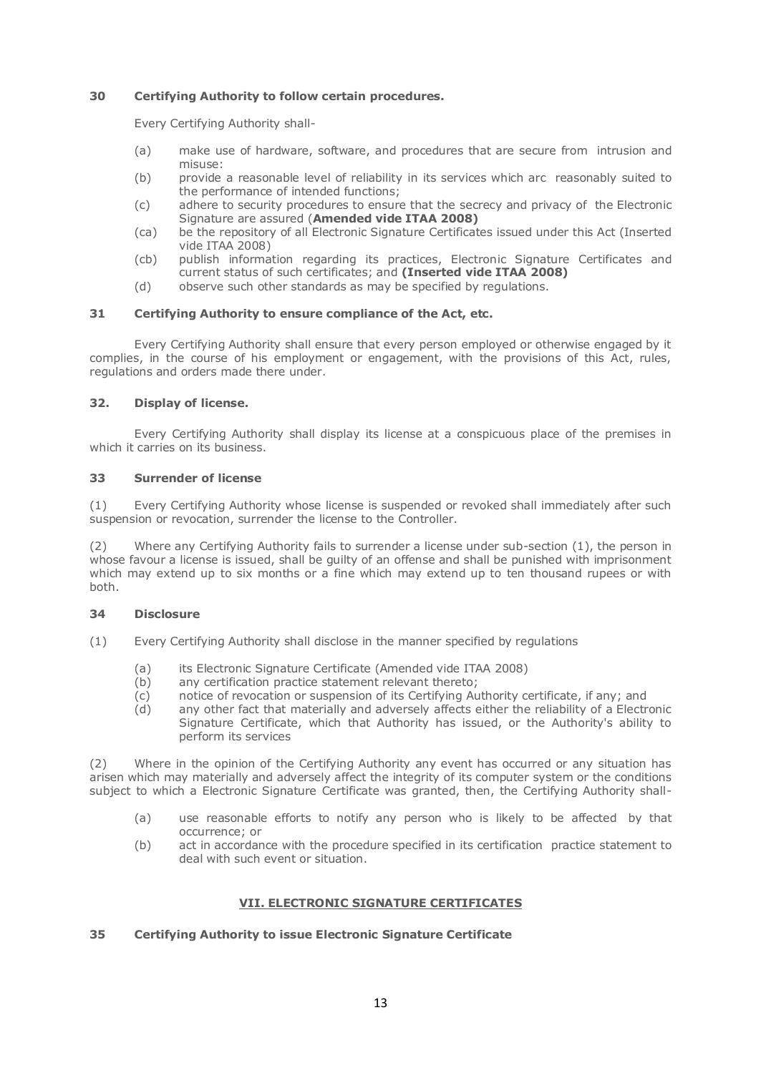# **30 Certifying Authority to follow certain procedures.**

Every Certifying Authority shall-

- (a) make use of hardware, software, and procedures that are secure from intrusion and misuse:
- (b) provide a reasonable level of reliability in its services which arc reasonably suited to the performance of intended functions;
- (c) adhere to security procedures to ensure that the secrecy and privacy of the Electronic Signature are assured (**Amended vide ITAA 2008)**
- (ca) be the repository of all Electronic Signature Certificates issued under this Act (Inserted vide ITAA 2008)
- (cb) publish information regarding its practices, Electronic Signature Certificates and current status of such certificates; and **(Inserted vide ITAA 2008)**
- (d) observe such other standards as may be specified by regulations.

# **31 Certifying Authority to ensure compliance of the Act, etc.**

Every Certifying Authority shall ensure that every person employed or otherwise engaged by it complies, in the course of his employment or engagement, with the provisions of this Act, rules, regulations and orders made there under.

# **32. Display of license.**

Every Certifying Authority shall display its license at a conspicuous place of the premises in which it carries on its business.

# **33 Surrender of license**

(1) Every Certifying Authority whose license is suspended or revoked shall immediately after such suspension or revocation, surrender the license to the Controller.

(2) Where any Certifying Authority fails to surrender a license under sub-section (1), the person in whose favour a license is issued, shall be guilty of an offense and shall be punished with imprisonment which may extend up to six months or a fine which may extend up to ten thousand rupees or with both.

# **34 Disclosure**

- (1) Every Certifying Authority shall disclose in the manner specified by regulations
	- (a) its Electronic Signature Certificate (Amended vide ITAA 2008)
	- (b) any certification practice statement relevant thereto;
	- (c) notice of revocation or suspension of its Certifying Authority certificate, if any; and
	- (d) any other fact that materially and adversely affects either the reliability of a Electronic Signature Certificate, which that Authority has issued, or the Authority's ability to perform its services

(2) Where in the opinion of the Certifying Authority any event has occurred or any situation has arisen which may materially and adversely affect the integrity of its computer system or the conditions subject to which a Electronic Signature Certificate was granted, then, the Certifying Authority shall-

- (a) use reasonable efforts to notify any person who is likely to be affected by that occurrence; or
- (b) act in accordance with the procedure specified in its certification practice statement to deal with such event or situation.

# **VII. ELECTRONIC SIGNATURE CERTIFICATES**

# **35 Certifying Authority to issue Electronic Signature Certificate**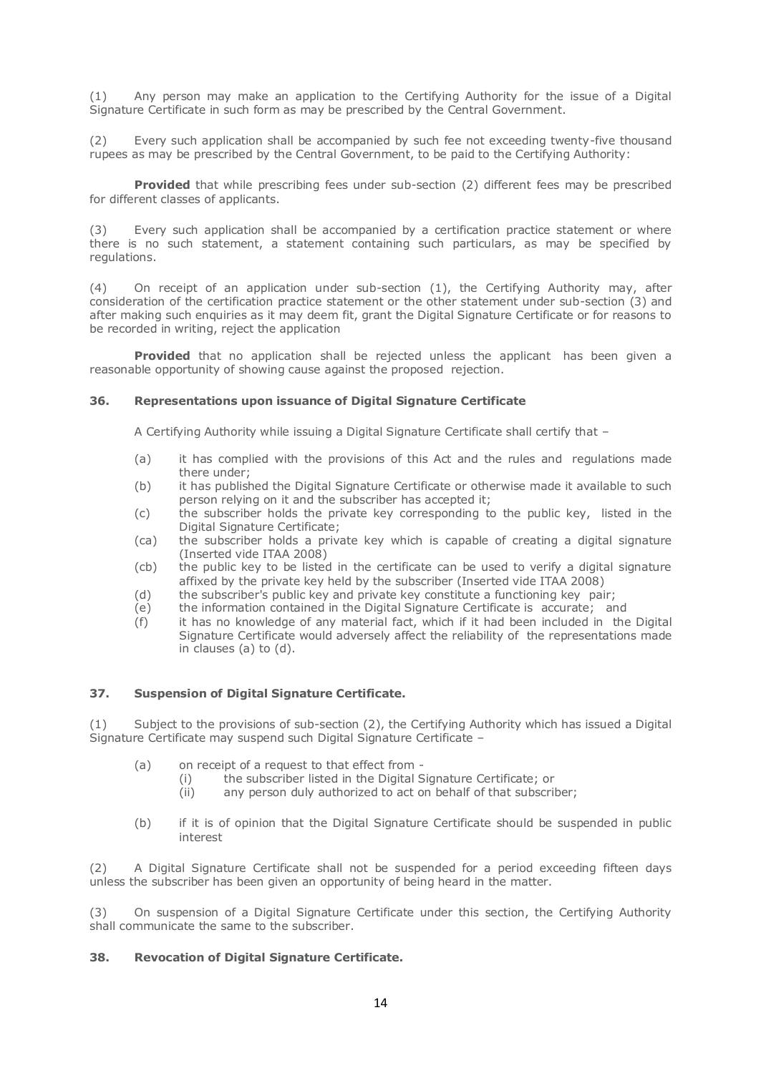(1) Any person may make an application to the Certifying Authority for the issue of a Digital Signature Certificate in such form as may be prescribed by the Central Government.

(2) Every such application shall be accompanied by such fee not exceeding twenty-five thousand rupees as may be prescribed by the Central Government, to be paid to the Certifying Authority:

**Provided** that while prescribing fees under sub-section (2) different fees may be prescribed for different classes of applicants.

(3) Every such application shall be accompanied by a certification practice statement or where there is no such statement, a statement containing such particulars, as may be specified by regulations.

(4) On receipt of an application under sub-section (1), the Certifying Authority may, after consideration of the certification practice statement or the other statement under sub-section (3) and after making such enquiries as it may deem fit, grant the Digital Signature Certificate or for reasons to be recorded in writing, reject the application

**Provided** that no application shall be rejected unless the applicant has been given a reasonable opportunity of showing cause against the proposed rejection.

#### **36. Representations upon issuance of Digital Signature Certificate**

A Certifying Authority while issuing a Digital Signature Certificate shall certify that –

- (a) it has complied with the provisions of this Act and the rules and regulations made there under;
- (b) it has published the Digital Signature Certificate or otherwise made it available to such person relying on it and the subscriber has accepted it;
- (c) the subscriber holds the private key corresponding to the public key, listed in the Digital Signature Certificate;
- (ca) the subscriber holds a private key which is capable of creating a digital signature (Inserted vide ITAA 2008)
- (cb) the public key to be listed in the certificate can be used to verify a digital signature affixed by the private key held by the subscriber (Inserted vide ITAA 2008)
- (d) the subscriber's public key and private key constitute a functioning key pair;
- (e) the information contained in the Digital Signature Certificate is accurate; and
- (f) it has no knowledge of any material fact, which if it had been included in the Digital Signature Certificate would adversely affect the reliability of the representations made in clauses (a) to (d).

#### **37. Suspension of Digital Signature Certificate.**

(1) Subject to the provisions of sub-section (2), the Certifying Authority which has issued a Digital Signature Certificate may suspend such Digital Signature Certificate –

- (a) on receipt of a request to that effect from
	- (i) the subscriber listed in the Digital Signature Certificate; or<br>(ii) any person duly authorized to act on behalf of that subscrib
	- any person duly authorized to act on behalf of that subscriber;
- (b) if it is of opinion that the Digital Signature Certificate should be suspended in public interest

(2) A Digital Signature Certificate shall not be suspended for a period exceeding fifteen days unless the subscriber has been given an opportunity of being heard in the matter.

(3) On suspension of a Digital Signature Certificate under this section, the Certifying Authority shall communicate the same to the subscriber.

# **38. Revocation of Digital Signature Certificate.**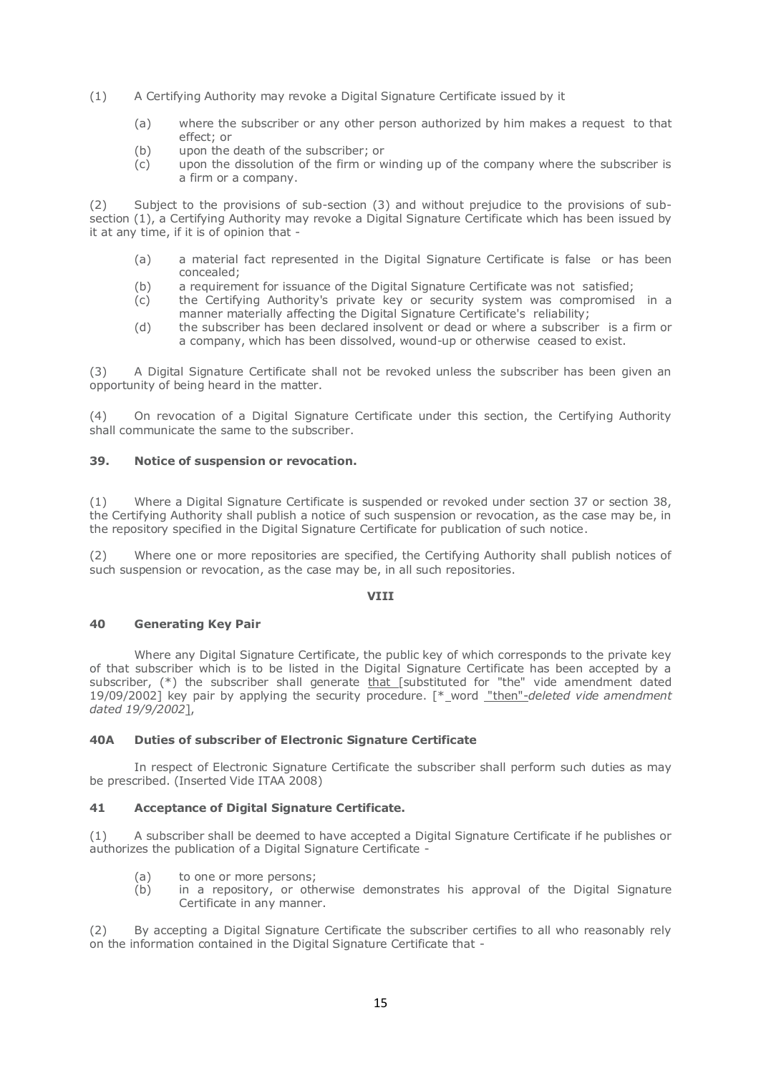- (1) A Certifying Authority may revoke a Digital Signature Certificate issued by it
	- (a) where the subscriber or any other person authorized by him makes a request to that effect; or
	- (b) upon the death of the subscriber; or
	- (c) upon the dissolution of the firm or winding up of the company where the subscriber is a firm or a company.

(2) Subject to the provisions of sub-section (3) and without prejudice to the provisions of subsection (1), a Certifying Authority may revoke a Digital Signature Certificate which has been issued by it at any time, if it is of opinion that -

- (a) a material fact represented in the Digital Signature Certificate is false or has been concealed;
- (b) a requirement for issuance of the Digital Signature Certificate was not satisfied;
- (c) the Certifying Authority's private key or security system was compromised in a manner materially affecting the Digital Signature Certificate's reliability;
- (d) the subscriber has been declared insolvent or dead or where a subscriber is a firm or a company, which has been dissolved, wound-up or otherwise ceased to exist.

(3) A Digital Signature Certificate shall not be revoked unless the subscriber has been given an opportunity of being heard in the matter.

(4) On revocation of a Digital Signature Certificate under this section, the Certifying Authority shall communicate the same to the subscriber.

# **39. Notice of suspension or revocation.**

(1) Where a Digital Signature Certificate is suspended or revoked under section 37 or section 38, the Certifying Authority shall publish a notice of such suspension or revocation, as the case may be, in the repository specified in the Digital Signature Certificate for publication of such notice.

(2) Where one or more repositories are specified, the Certifying Authority shall publish notices of such suspension or revocation, as the case may be, in all such repositories.

#### **VIII**

# **40 Generating Key Pair**

Where any Digital Signature Certificate, the public key of which corresponds to the private key of that subscriber which is to be listed in the Digital Signature Certificate has been accepted by a subscriber,  $(*)$  the subscriber shall generate that [substituted for "the" vide amendment dated 19/09/2002] key pair by applying the security procedure. [\* word "then"-*deleted vide amendment dated 19/9/2002*],

# **40A Duties of subscriber of Electronic Signature Certificate**

In respect of Electronic Signature Certificate the subscriber shall perform such duties as may be prescribed. (Inserted Vide ITAA 2008)

# **41 Acceptance of Digital Signature Certificate.**

(1) A subscriber shall be deemed to have accepted a Digital Signature Certificate if he publishes or authorizes the publication of a Digital Signature Certificate -

- (a) to one or more persons;
- (b) in a repository, or otherwise demonstrates his approval of the Digital Signature Certificate in any manner.

(2) By accepting a Digital Signature Certificate the subscriber certifies to all who reasonably rely on the information contained in the Digital Signature Certificate that -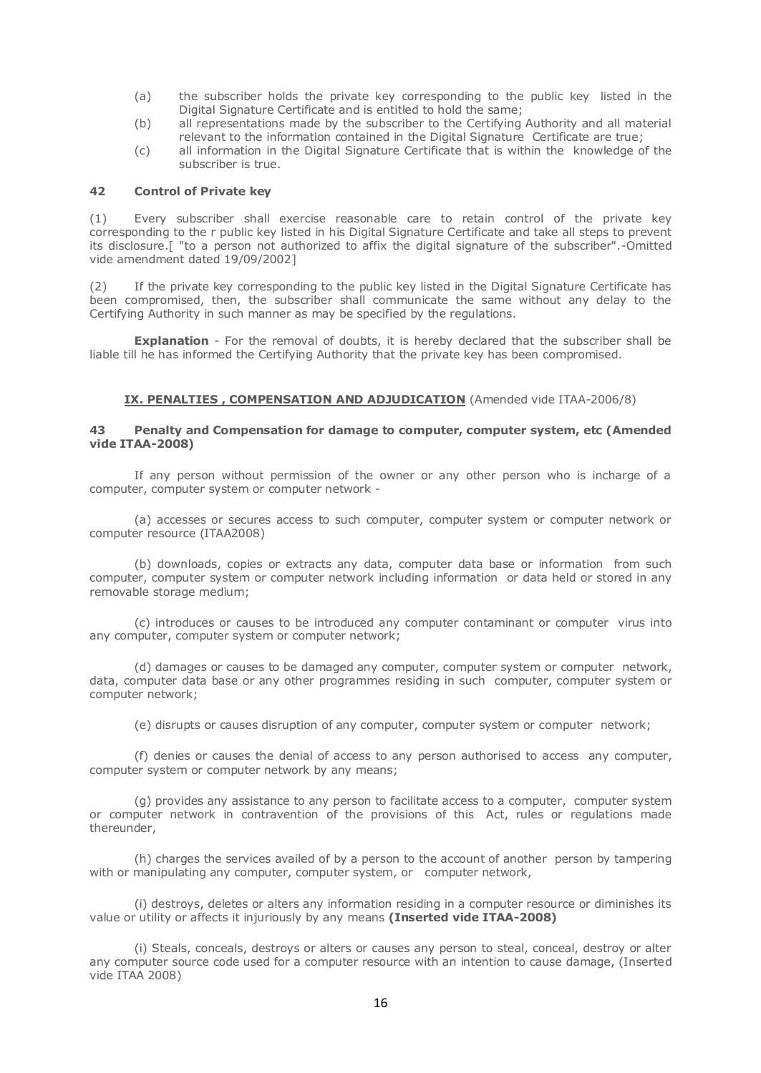- (a) the subscriber holds the private key corresponding to the public key listed in the Digital Signature Certificate and is entitled to hold the same;
- (b) all representations made by the subscriber to the Certifying Authority and all material relevant to the information contained in the Digital Signature Certificate are true;
- (c) all information in the Digital Signature Certificate that is within the knowledge of the subscriber is true.

# **42 Control of Private key**

(1) Every subscriber shall exercise reasonable care to retain control of the private key corresponding to the r public key listed in his Digital Signature Certificate and take all steps to prevent its disclosure.[ "to a person not authorized to affix the digital signature of the subscriber".-Omitted vide amendment dated 19/09/2002]

(2) If the private key corresponding to the public key listed in the Digital Signature Certificate has been compromised, then, the subscriber shall communicate the same without any delay to the Certifying Authority in such manner as may be specified by the regulations.

**Explanation** - For the removal of doubts, it is hereby declared that the subscriber shall be liable till he has informed the Certifying Authority that the private key has been compromised.

#### **IX. PENALTIES , COMPENSATION AND ADJUDICATION** (Amended vide ITAA-2006/8)

#### **43 Penalty and Compensation for damage to computer, computer system, etc (Amended vide ITAA-2008)**

If any person without permission of the owner or any other person who is incharge of a computer, computer system or computer network -

(a) accesses or secures access to such computer, computer system or computer network or computer resource (ITAA2008)

(b) downloads, copies or extracts any data, computer data base or information from such computer, computer system or computer network including information or data held or stored in any removable storage medium;

(c) introduces or causes to be introduced any computer contaminant or computer virus into any computer, computer system or computer network;

(d) damages or causes to be damaged any computer, computer system or computer network, data, computer data base or any other programmes residing in such computer, computer system or computer network;

(e) disrupts or causes disruption of any computer, computer system or computer network;

(f) denies or causes the denial of access to any person authorised to access any computer, computer system or computer network by any means;

(g) provides any assistance to any person to facilitate access to a computer, computer system or computer network in contravention of the provisions of this Act, rules or regulations made thereunder,

(h) charges the services availed of by a person to the account of another person by tampering with or manipulating any computer, computer system, or computer network,

(i) destroys, deletes or alters any information residing in a computer resource or diminishes its value or utility or affects it injuriously by any means **(Inserted vide ITAA-2008)**

(i) Steals, conceals, destroys or alters or causes any person to steal, conceal, destroy or alter any computer source code used for a computer resource with an intention to cause damage, (Inserted vide ITAA 2008)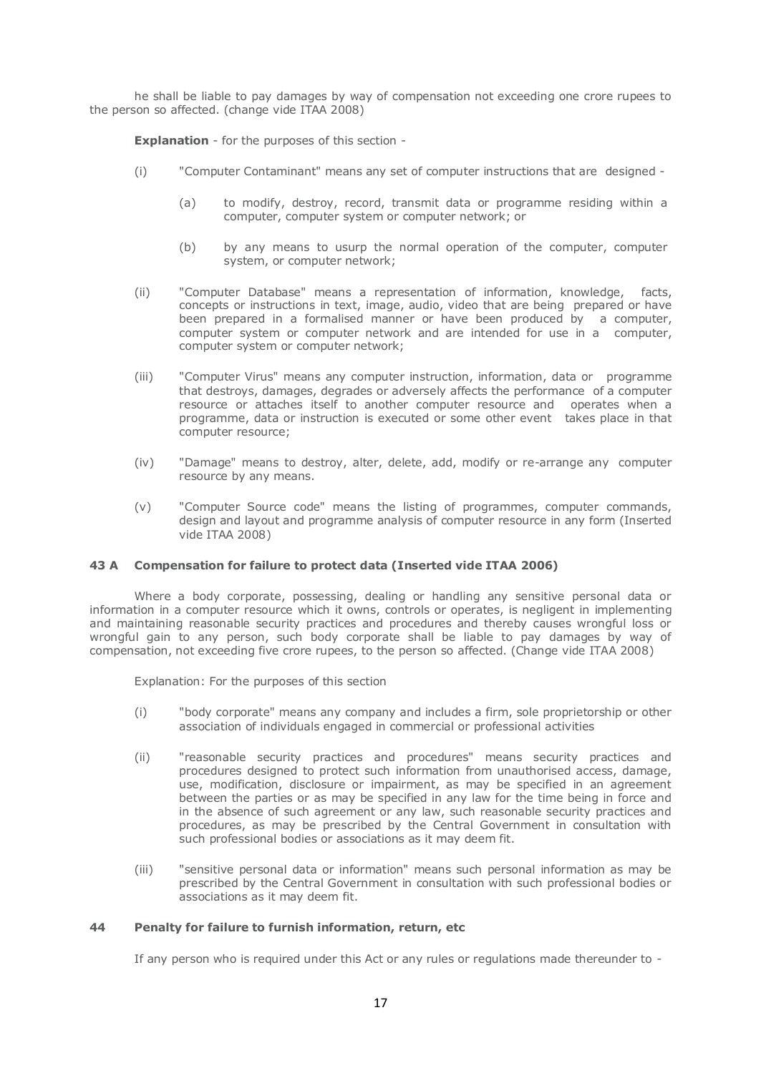he shall be liable to pay damages by way of compensation not exceeding one crore rupees to the person so affected. (change vide ITAA 2008)

**Explanation** - for the purposes of this section -

- (i) "Computer Contaminant" means any set of computer instructions that are designed
	- (a) to modify, destroy, record, transmit data or programme residing within a computer, computer system or computer network; or
	- (b) by any means to usurp the normal operation of the computer, computer system, or computer network;
- (ii) "Computer Database" means a representation of information, knowledge, facts, concepts or instructions in text, image, audio, video that are being prepared or have been prepared in a formalised manner or have been produced by a computer, computer system or computer network and are intended for use in a computer, computer system or computer network;
- (iii) "Computer Virus" means any computer instruction, information, data or programme that destroys, damages, degrades or adversely affects the performance of a computer resource or attaches itself to another computer resource and operates when a programme, data or instruction is executed or some other event takes place in that computer resource;
- (iv) "Damage" means to destroy, alter, delete, add, modify or re-arrange any computer resource by any means.
- (v) "Computer Source code" means the listing of programmes, computer commands, design and layout and programme analysis of computer resource in any form (Inserted vide ITAA 2008)

#### **43 A Compensation for failure to protect data (Inserted vide ITAA 2006)**

Where a body corporate, possessing, dealing or handling any sensitive personal data or information in a computer resource which it owns, controls or operates, is negligent in implementing and maintaining reasonable security practices and procedures and thereby causes wrongful loss or wrongful gain to any person, such body corporate shall be liable to pay damages by way of compensation, not exceeding five crore rupees, to the person so affected. (Change vide ITAA 2008)

Explanation: For the purposes of this section

- (i) "body corporate" means any company and includes a firm, sole proprietorship or other association of individuals engaged in commercial or professional activities
- (ii) "reasonable security practices and procedures" means security practices and procedures designed to protect such information from unauthorised access, damage, use, modification, disclosure or impairment, as may be specified in an agreement between the parties or as may be specified in any law for the time being in force and in the absence of such agreement or any law, such reasonable security practices and procedures, as may be prescribed by the Central Government in consultation with such professional bodies or associations as it may deem fit.
- (iii) "sensitive personal data or information" means such personal information as may be prescribed by the Central Government in consultation with such professional bodies or associations as it may deem fit.

# **44 Penalty for failure to furnish information, return, etc**

If any person who is required under this Act or any rules or regulations made thereunder to -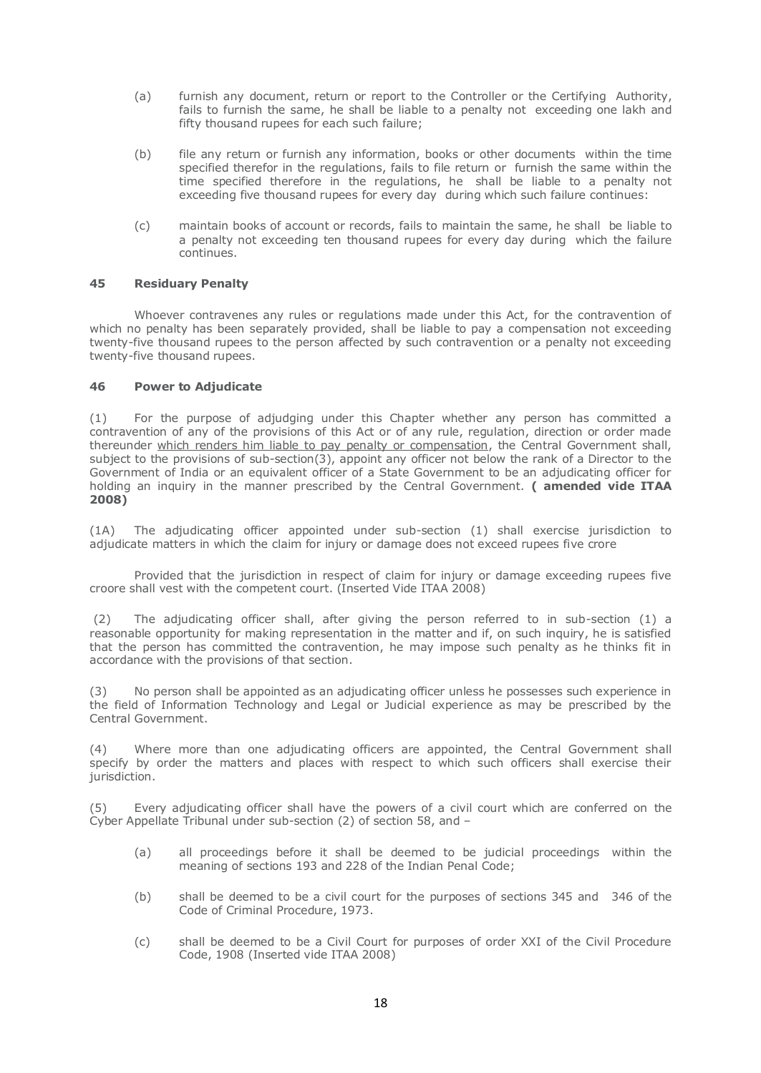- (a) furnish any document, return or report to the Controller or the Certifying Authority, fails to furnish the same, he shall be liable to a penalty not exceeding one lakh and fifty thousand rupees for each such failure;
- (b) file any return or furnish any information, books or other documents within the time specified therefor in the regulations, fails to file return or furnish the same within the time specified therefore in the regulations, he shall be liable to a penalty not exceeding five thousand rupees for every day during which such failure continues:
- (c) maintain books of account or records, fails to maintain the same, he shall be liable to a penalty not exceeding ten thousand rupees for every day during which the failure continues.

# **45 Residuary Penalty**

Whoever contravenes any rules or regulations made under this Act, for the contravention of which no penalty has been separately provided, shall be liable to pay a compensation not exceeding twenty-five thousand rupees to the person affected by such contravention or a penalty not exceeding twenty-five thousand rupees.

#### **46 Power to Adjudicate**

(1) For the purpose of adjudging under this Chapter whether any person has committed a contravention of any of the provisions of this Act or of any rule, regulation, direction or order made thereunder which renders him liable to pay penalty or compensation, the Central Government shall, subject to the provisions of sub-section(3), appoint any officer not below the rank of a Director to the Government of India or an equivalent officer of a State Government to be an adjudicating officer for holding an inquiry in the manner prescribed by the Central Government. **( amended vide ITAA 2008)**

(1A) The adjudicating officer appointed under sub-section (1) shall exercise jurisdiction to adjudicate matters in which the claim for injury or damage does not exceed rupees five crore

Provided that the jurisdiction in respect of claim for injury or damage exceeding rupees five croore shall vest with the competent court. (Inserted Vide ITAA 2008)

(2) The adjudicating officer shall, after giving the person referred to in sub-section (1) a reasonable opportunity for making representation in the matter and if, on such inquiry, he is satisfied that the person has committed the contravention, he may impose such penalty as he thinks fit in accordance with the provisions of that section.

(3) No person shall be appointed as an adjudicating officer unless he possesses such experience in the field of Information Technology and Legal or Judicial experience as may be prescribed by the Central Government.

(4) Where more than one adjudicating officers are appointed, the Central Government shall specify by order the matters and places with respect to which such officers shall exercise their jurisdiction.

(5) Every adjudicating officer shall have the powers of a civil court which are conferred on the Cyber Appellate Tribunal under sub-section (2) of section 58, and –

- (a) all proceedings before it shall be deemed to be judicial proceedings within the meaning of sections 193 and 228 of the Indian Penal Code;
- (b) shall be deemed to be a civil court for the purposes of sections 345 and 346 of the Code of Criminal Procedure, 1973.
- (c) shall be deemed to be a Civil Court for purposes of order XXI of the Civil Procedure Code, 1908 (Inserted vide ITAA 2008)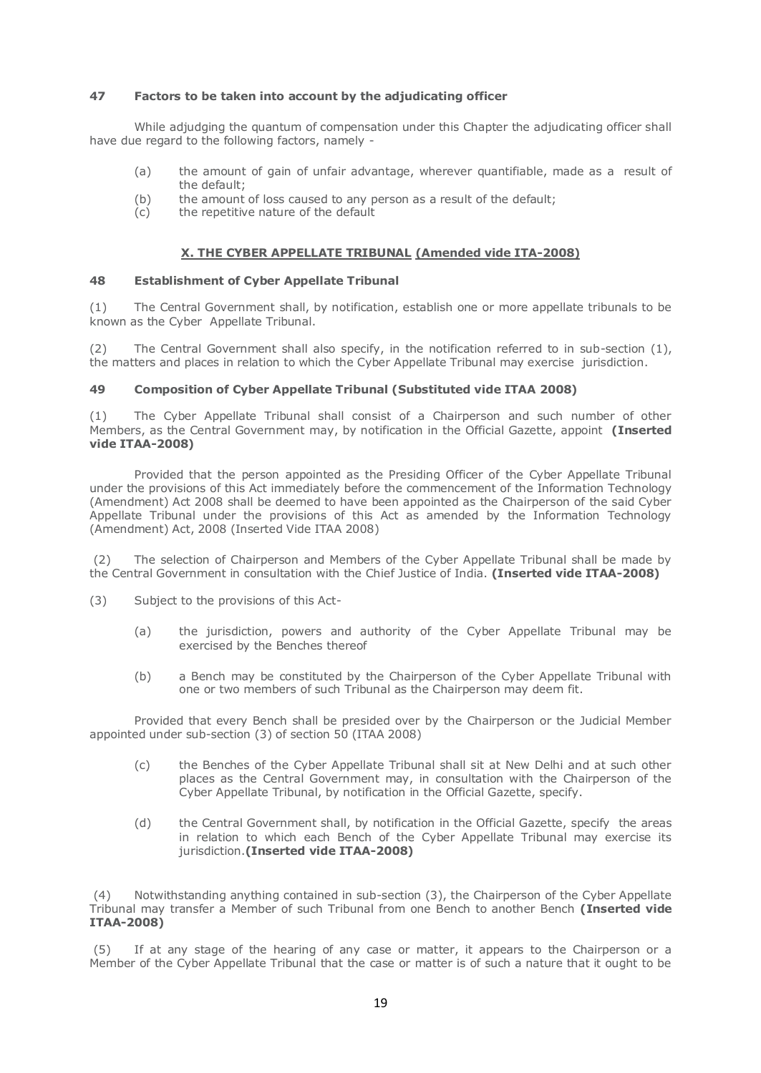# **47 Factors to be taken into account by the adjudicating officer**

While adjudging the quantum of compensation under this Chapter the adjudicating officer shall have due regard to the following factors, namely -

- (a) the amount of gain of unfair advantage, wherever quantifiable, made as a result of the default;
- (b) the amount of loss caused to any person as a result of the default;
- (c) the repetitive nature of the default

# **X. THE CYBER APPELLATE TRIBUNAL (Amended vide ITA-2008)**

#### **48 Establishment of Cyber Appellate Tribunal**

(1) The Central Government shall, by notification, establish one or more appellate tribunals to be known as the Cyber Appellate Tribunal.

(2) The Central Government shall also specify, in the notification referred to in sub-section (1), the matters and places in relation to which the Cyber Appellate Tribunal may exercise jurisdiction.

# **49 Composition of Cyber Appellate Tribunal (Substituted vide ITAA 2008)**

(1) The Cyber Appellate Tribunal shall consist of a Chairperson and such number of other Members, as the Central Government may, by notification in the Official Gazette, appoint **(Inserted vide ITAA-2008)**

Provided that the person appointed as the Presiding Officer of the Cyber Appellate Tribunal under the provisions of this Act immediately before the commencement of the Information Technology (Amendment) Act 2008 shall be deemed to have been appointed as the Chairperson of the said Cyber Appellate Tribunal under the provisions of this Act as amended by the Information Technology (Amendment) Act, 2008 (Inserted Vide ITAA 2008)

(2) The selection of Chairperson and Members of the Cyber Appellate Tribunal shall be made by the Central Government in consultation with the Chief Justice of India. **(Inserted vide ITAA-2008)**

- (3) Subject to the provisions of this Act-
	- (a) the jurisdiction, powers and authority of the Cyber Appellate Tribunal may be exercised by the Benches thereof
	- (b) a Bench may be constituted by the Chairperson of the Cyber Appellate Tribunal with one or two members of such Tribunal as the Chairperson may deem fit.

Provided that every Bench shall be presided over by the Chairperson or the Judicial Member appointed under sub-section (3) of section 50 (ITAA 2008)

- (c) the Benches of the Cyber Appellate Tribunal shall sit at New Delhi and at such other places as the Central Government may, in consultation with the Chairperson of the Cyber Appellate Tribunal, by notification in the Official Gazette, specify.
- (d) the Central Government shall, by notification in the Official Gazette, specify the areas in relation to which each Bench of the Cyber Appellate Tribunal may exercise its jurisdiction.**(Inserted vide ITAA-2008)**

(4) Notwithstanding anything contained in sub-section (3), the Chairperson of the Cyber Appellate Tribunal may transfer a Member of such Tribunal from one Bench to another Bench **(Inserted vide ITAA-2008)**

(5) If at any stage of the hearing of any case or matter, it appears to the Chairperson or a Member of the Cyber Appellate Tribunal that the case or matter is of such a nature that it ought to be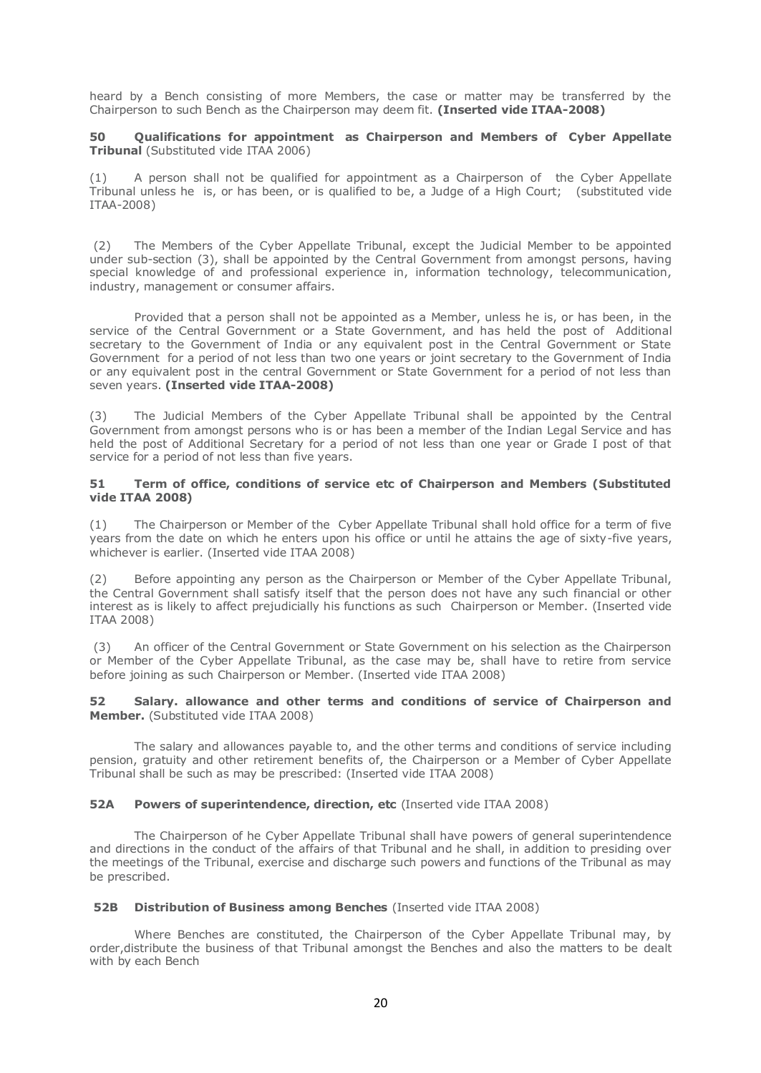heard by a Bench consisting of more Members, the case or matter may be transferred by the Chairperson to such Bench as the Chairperson may deem fit. **(Inserted vide ITAA-2008)**

#### **50 Qualifications for appointment as Chairperson and Members of Cyber Appellate Tribunal** (Substituted vide ITAA 2006)

(1) A person shall not be qualified for appointment as a Chairperson of the Cyber Appellate Tribunal unless he is, or has been, or is qualified to be, a Judge of a High Court; (substituted vide ITAA-2008)

(2) The Members of the Cyber Appellate Tribunal, except the Judicial Member to be appointed under sub-section (3), shall be appointed by the Central Government from amongst persons, having special knowledge of and professional experience in, information technology, telecommunication, industry, management or consumer affairs.

Provided that a person shall not be appointed as a Member, unless he is, or has been, in the service of the Central Government or a State Government, and has held the post of Additional secretary to the Government of India or any equivalent post in the Central Government or State Government for a period of not less than two one years or joint secretary to the Government of India or any equivalent post in the central Government or State Government for a period of not less than seven years. **(Inserted vide ITAA-2008)**

(3) The Judicial Members of the Cyber Appellate Tribunal shall be appointed by the Central Government from amongst persons who is or has been a member of the Indian Legal Service and has held the post of Additional Secretary for a period of not less than one year or Grade I post of that service for a period of not less than five years.

#### **51 Term of office, conditions of service etc of Chairperson and Members (Substituted vide ITAA 2008)**

(1) The Chairperson or Member of the Cyber Appellate Tribunal shall hold office for a term of five years from the date on which he enters upon his office or until he attains the age of sixty-five years, whichever is earlier. (Inserted vide ITAA 2008)

(2) Before appointing any person as the Chairperson or Member of the Cyber Appellate Tribunal, the Central Government shall satisfy itself that the person does not have any such financial or other interest as is likely to affect prejudicially his functions as such Chairperson or Member. (Inserted vide ITAA 2008)

(3) An officer of the Central Government or State Government on his selection as the Chairperson or Member of the Cyber Appellate Tribunal, as the case may be, shall have to retire from service before joining as such Chairperson or Member. (Inserted vide ITAA 2008)

#### **52 Salary. allowance and other terms and conditions of service of Chairperson and Member.** (Substituted vide ITAA 2008)

The salary and allowances payable to, and the other terms and conditions of service including pension, gratuity and other retirement benefits of, the Chairperson or a Member of Cyber Appellate Tribunal shall be such as may be prescribed: (Inserted vide ITAA 2008)

# **52A Powers of superintendence, direction, etc** (Inserted vide ITAA 2008)

The Chairperson of he Cyber Appellate Tribunal shall have powers of general superintendence and directions in the conduct of the affairs of that Tribunal and he shall, in addition to presiding over the meetings of the Tribunal, exercise and discharge such powers and functions of the Tribunal as may be prescribed.

# **52B Distribution of Business among Benches** (Inserted vide ITAA 2008)

Where Benches are constituted, the Chairperson of the Cyber Appellate Tribunal may, by order,distribute the business of that Tribunal amongst the Benches and also the matters to be dealt with by each Bench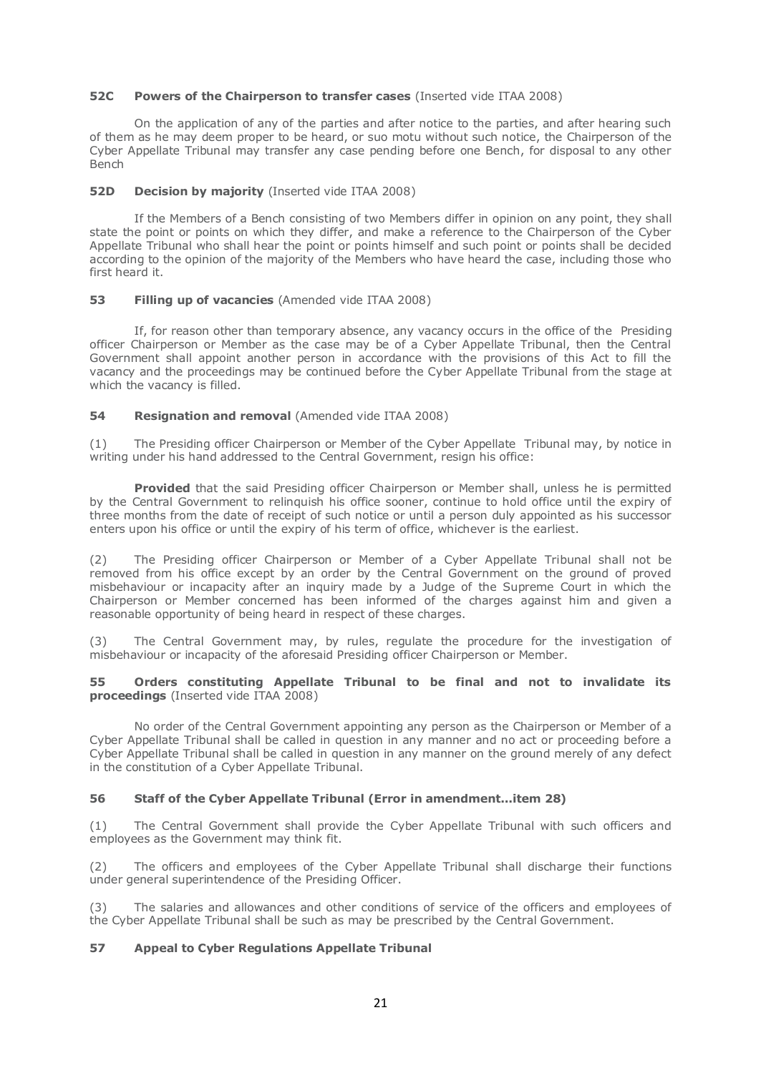#### **52C Powers of the Chairperson to transfer cases** (Inserted vide ITAA 2008)

On the application of any of the parties and after notice to the parties, and after hearing such of them as he may deem proper to be heard, or suo motu without such notice, the Chairperson of the Cyber Appellate Tribunal may transfer any case pending before one Bench, for disposal to any other Bench

#### **52D Decision by majority** (Inserted vide ITAA 2008)

 If the Members of a Bench consisting of two Members differ in opinion on any point, they shall state the point or points on which they differ, and make a reference to the Chairperson of the Cyber Appellate Tribunal who shall hear the point or points himself and such point or points shall be decided according to the opinion of the majority of the Members who have heard the case, including those who first heard it.

#### **53 Filling up of vacancies** (Amended vide ITAA 2008)

If, for reason other than temporary absence, any vacancy occurs in the office of the Presiding officer Chairperson or Member as the case may be of a Cyber Appellate Tribunal, then the Central Government shall appoint another person in accordance with the provisions of this Act to fill the vacancy and the proceedings may be continued before the Cyber Appellate Tribunal from the stage at which the vacancy is filled.

# **54 Resignation and removal** (Amended vide ITAA 2008)

(1) The Presiding officer Chairperson or Member of the Cyber Appellate Tribunal may, by notice in writing under his hand addressed to the Central Government, resign his office:

**Provided** that the said Presiding officer Chairperson or Member shall, unless he is permitted by the Central Government to relinquish his office sooner, continue to hold office until the expiry of three months from the date of receipt of such notice or until a person duly appointed as his successor enters upon his office or until the expiry of his term of office, whichever is the earliest.

(2) The Presiding officer Chairperson or Member of a Cyber Appellate Tribunal shall not be removed from his office except by an order by the Central Government on the ground of proved misbehaviour or incapacity after an inquiry made by a Judge of the Supreme Court in which the Chairperson or Member concerned has been informed of the charges against him and given a reasonable opportunity of being heard in respect of these charges.

(3) The Central Government may, by rules, regulate the procedure for the investigation of misbehaviour or incapacity of the aforesaid Presiding officer Chairperson or Member.

#### **55 Orders constituting Appellate Tribunal to be final and not to invalidate its proceedings** (Inserted vide ITAA 2008)

No order of the Central Government appointing any person as the Chairperson or Member of a Cyber Appellate Tribunal shall be called in question in any manner and no act or proceeding before a Cyber Appellate Tribunal shall be called in question in any manner on the ground merely of any defect in the constitution of a Cyber Appellate Tribunal.

# **56 Staff of the Cyber Appellate Tribunal (Error in amendment...item 28)**

(1) The Central Government shall provide the Cyber Appellate Tribunal with such officers and employees as the Government may think fit.

(2) The officers and employees of the Cyber Appellate Tribunal shall discharge their functions under general superintendence of the Presiding Officer.

(3) The salaries and allowances and other conditions of service of the officers and employees of the Cyber Appellate Tribunal shall be such as may be prescribed by the Central Government.

# **57 Appeal to Cyber Regulations Appellate Tribunal**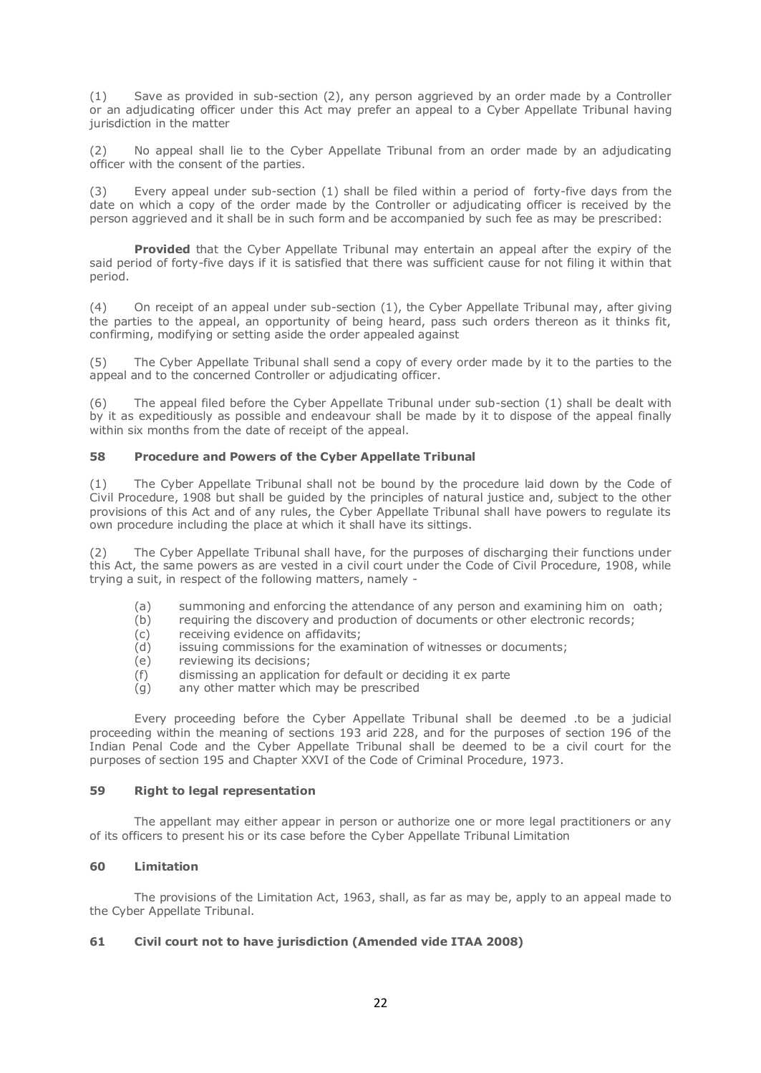(1) Save as provided in sub-section (2), any person aggrieved by an order made by a Controller or an adjudicating officer under this Act may prefer an appeal to a Cyber Appellate Tribunal having jurisdiction in the matter

(2) No appeal shall lie to the Cyber Appellate Tribunal from an order made by an adjudicating officer with the consent of the parties.

(3) Every appeal under sub-section (1) shall be filed within a period of forty-five days from the date on which a copy of the order made by the Controller or adjudicating officer is received by the person aggrieved and it shall be in such form and be accompanied by such fee as may be prescribed:

**Provided** that the Cyber Appellate Tribunal may entertain an appeal after the expiry of the said period of forty-five days if it is satisfied that there was sufficient cause for not filing it within that period.

(4) On receipt of an appeal under sub-section (1), the Cyber Appellate Tribunal may, after giving the parties to the appeal, an opportunity of being heard, pass such orders thereon as it thinks fit, confirming, modifying or setting aside the order appealed against

(5) The Cyber Appellate Tribunal shall send a copy of every order made by it to the parties to the appeal and to the concerned Controller or adjudicating officer.

(6) The appeal filed before the Cyber Appellate Tribunal under sub-section (1) shall be dealt with by it as expeditiously as possible and endeavour shall be made by it to dispose of the appeal finally within six months from the date of receipt of the appeal.

# **58 Procedure and Powers of the Cyber Appellate Tribunal**

(1) The Cyber Appellate Tribunal shall not be bound by the procedure laid down by the Code of Civil Procedure, 1908 but shall be guided by the principles of natural justice and, subject to the other provisions of this Act and of any rules, the Cyber Appellate Tribunal shall have powers to regulate its own procedure including the place at which it shall have its sittings.

(2) The Cyber Appellate Tribunal shall have, for the purposes of discharging their functions under this Act, the same powers as are vested in a civil court under the Code of Civil Procedure, 1908, while trying a suit, in respect of the following matters, namely -

- (a) summoning and enforcing the attendance of any person and examining him on oath;<br>(b) requiring the discovery and production of documents or other electronic records;
- requiring the discovery and production of documents or other electronic records;
- (c) receiving evidence on affidavits;
- (d) issuing commissions for the examination of witnesses or documents;
- (e) reviewing its decisions;
- (f) dismissing an application for default or deciding it ex parte
- $\tilde{g}(q)$  any other matter which may be prescribed

Every proceeding before the Cyber Appellate Tribunal shall be deemed .to be a judicial proceeding within the meaning of sections 193 arid 228, and for the purposes of section 196 of the Indian Penal Code and the Cyber Appellate Tribunal shall be deemed to be a civil court for the purposes of section 195 and Chapter XXVI of the Code of Criminal Procedure, 1973.

# **59 Right to legal representation**

The appellant may either appear in person or authorize one or more legal practitioners or any of its officers to present his or its case before the Cyber Appellate Tribunal Limitation

# **60 Limitation**

The provisions of the Limitation Act, 1963, shall, as far as may be, apply to an appeal made to the Cyber Appellate Tribunal.

# **61 Civil court not to have jurisdiction (Amended vide ITAA 2008)**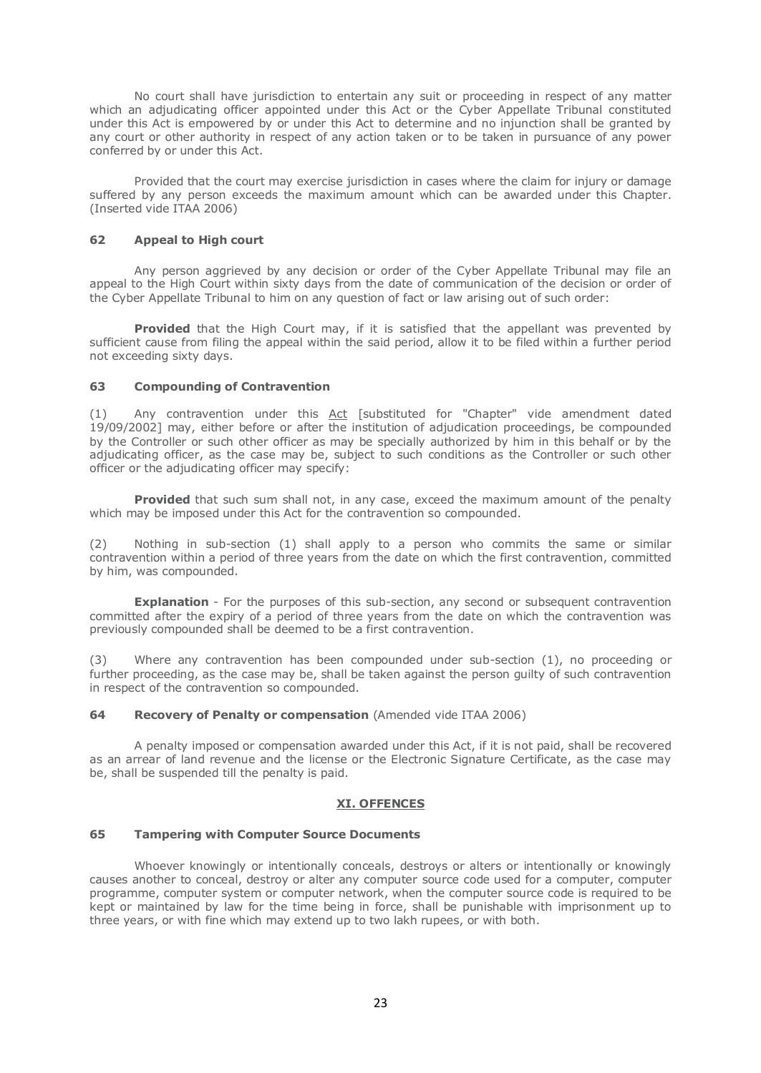No court shall have jurisdiction to entertain any suit or proceeding in respect of any matter which an adjudicating officer appointed under this Act or the Cyber Appellate Tribunal constituted under this Act is empowered by or under this Act to determine and no injunction shall be granted by any court or other authority in respect of any action taken or to be taken in pursuance of any power conferred by or under this Act.

Provided that the court may exercise jurisdiction in cases where the claim for injury or damage suffered by any person exceeds the maximum amount which can be awarded under this Chapter. (Inserted vide ITAA 2006)

# **62 Appeal to High court**

Any person aggrieved by any decision or order of the Cyber Appellate Tribunal may file an appeal to the High Court within sixty days from the date of communication of the decision or order of the Cyber Appellate Tribunal to him on any question of fact or law arising out of such order:

**Provided** that the High Court may, if it is satisfied that the appellant was prevented by sufficient cause from filing the appeal within the said period, allow it to be filed within a further period not exceeding sixty days.

#### **63 Compounding of Contravention**

(1) Any contravention under this Act [substituted for "Chapter" vide amendment dated 19/09/2002] may, either before or after the institution of adjudication proceedings, be compounded by the Controller or such other officer as may be specially authorized by him in this behalf or by the adjudicating officer, as the case may be, subject to such conditions as the Controller or such other officer or the adjudicating officer may specify:

**Provided** that such sum shall not, in any case, exceed the maximum amount of the penalty which may be imposed under this Act for the contravention so compounded.

(2) Nothing in sub-section (1) shall apply to a person who commits the same or similar contravention within a period of three years from the date on which the first contravention, committed by him, was compounded.

**Explanation** - For the purposes of this sub-section, any second or subsequent contravention committed after the expiry of a period of three years from the date on which the contravention was previously compounded shall be deemed to be a first contravention.

(3) Where any contravention has been compounded under sub-section (1), no proceeding or further proceeding, as the case may be, shall be taken against the person guilty of such contravention in respect of the contravention so compounded.

#### **64 Recovery of Penalty or compensation** (Amended vide ITAA 2006)

A penalty imposed or compensation awarded under this Act, if it is not paid, shall be recovered as an arrear of land revenue and the license or the Electronic Signature Certificate, as the case may be, shall be suspended till the penalty is paid.

# **XI. OFFENCES**

# **65 Tampering with Computer Source Documents**

Whoever knowingly or intentionally conceals, destroys or alters or intentionally or knowingly causes another to conceal, destroy or alter any computer source code used for a computer, computer programme, computer system or computer network, when the computer source code is required to be kept or maintained by law for the time being in force, shall be punishable with imprisonment up to three years, or with fine which may extend up to two lakh rupees, or with both.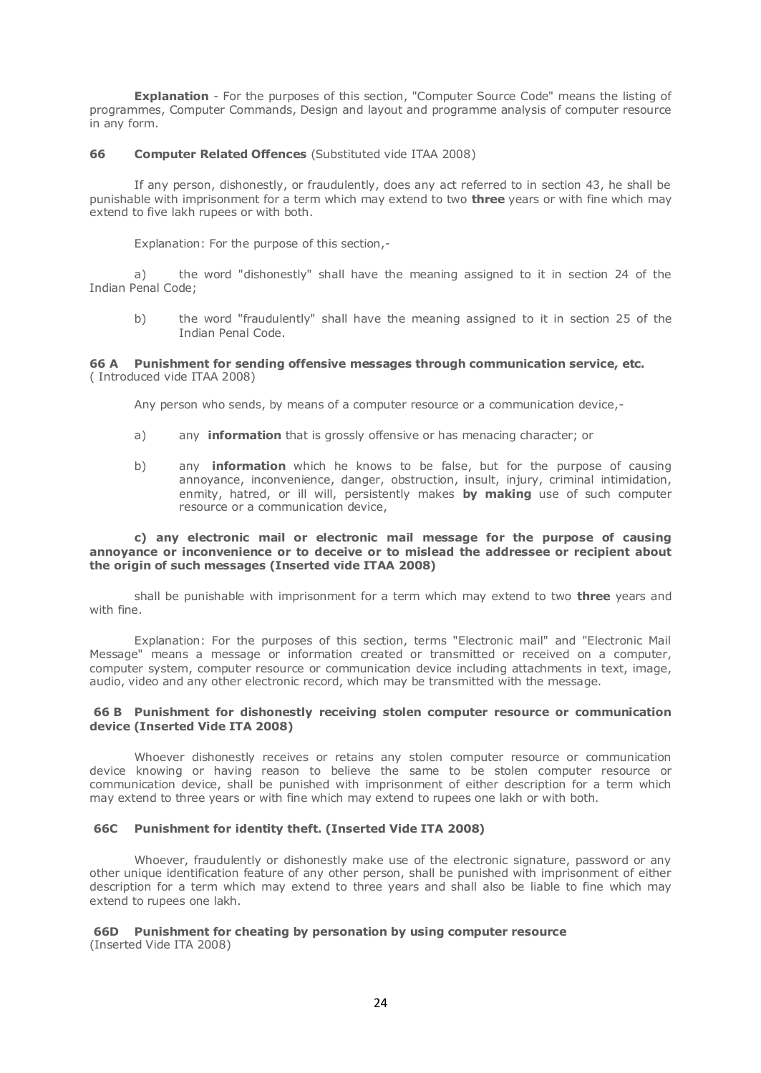**Explanation** - For the purposes of this section, "Computer Source Code" means the listing of programmes, Computer Commands, Design and layout and programme analysis of computer resource in any form.

#### **66 Computer Related Offences** (Substituted vide ITAA 2008)

If any person, dishonestly, or fraudulently, does any act referred to in section 43, he shall be punishable with imprisonment for a term which may extend to two **three** years or with fine which may extend to five lakh rupees or with both.

Explanation: For the purpose of this section,-

a) the word "dishonestly" shall have the meaning assigned to it in section 24 of the Indian Penal Code;

b) the word "fraudulently" shall have the meaning assigned to it in section 25 of the Indian Penal Code.

#### **66 A Punishment for sending offensive messages through communication service, etc.** ( Introduced vide ITAA 2008)

Any person who sends, by means of a computer resource or a communication device,-

- a) any **information** that is grossly offensive or has menacing character; or
- b) any **information** which he knows to be false, but for the purpose of causing annoyance, inconvenience, danger, obstruction, insult, injury, criminal intimidation, enmity, hatred, or ill will, persistently makes **by making** use of such computer resource or a communication device,

#### **c) any electronic mail or electronic mail message for the purpose of causing annoyance or inconvenience or to deceive or to mislead the addressee or recipient about the origin of such messages (Inserted vide ITAA 2008)**

shall be punishable with imprisonment for a term which may extend to two **three** years and with fine.

Explanation: For the purposes of this section, terms "Electronic mail" and "Electronic Mail Message" means a message or information created or transmitted or received on a computer, computer system, computer resource or communication device including attachments in text, image, audio, video and any other electronic record, which may be transmitted with the message.

#### **66 B Punishment for dishonestly receiving stolen computer resource or communication device (Inserted Vide ITA 2008)**

Whoever dishonestly receives or retains any stolen computer resource or communication device knowing or having reason to believe the same to be stolen computer resource or communication device, shall be punished with imprisonment of either description for a term which may extend to three years or with fine which may extend to rupees one lakh or with both.

#### **66C Punishment for identity theft. (Inserted Vide ITA 2008)**

Whoever, fraudulently or dishonestly make use of the electronic signature, password or any other unique identification feature of any other person, shall be punished with imprisonment of either description for a term which may extend to three years and shall also be liable to fine which may extend to rupees one lakh.

# **66D Punishment for cheating by personation by using computer resource**

(Inserted Vide ITA 2008)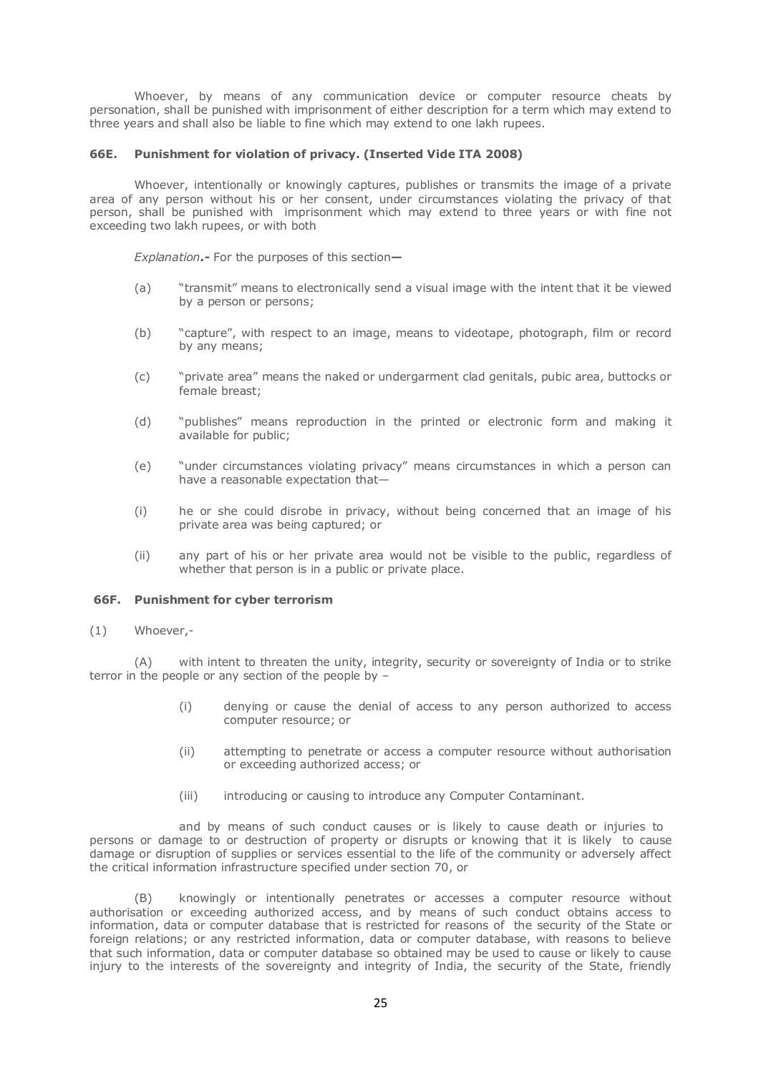Whoever, by means of any communication device or computer resource cheats by personation, shall be punished with imprisonment of either description for a term which may extend to three years and shall also be liable to fine which may extend to one lakh rupees.

#### **66E. Punishment for violation of privacy. (Inserted Vide ITA 2008)**

Whoever, intentionally or knowingly captures, publishes or transmits the image of a private area of any person without his or her consent, under circumstances violating the privacy of that person, shall be punished with imprisonment which may extend to three years or with fine not exceeding two lakh rupees, or with both

*Explanation.-* For the purposes of this section**—**

- (a) "transmit" means to electronically send a visual image with the intent that it be viewed by a person or persons;
- (b) "capture", with respect to an image, means to videotape, photograph, film or record by any means;
- (c) Trivate area" means the naked or undergarment clad genitals, pubic area, buttocks or female breast;
- (d) "publishes" means reproduction in the printed or electronic form and making it available for public;
- (e) 
"under circumstances violating privacy" means circumstances in which a person can have a reasonable expectation that—
- (i) he or she could disrobe in privacy, without being concerned that an image of his private area was being captured; or
- (ii) any part of his or her private area would not be visible to the public, regardless of whether that person is in a public or private place.

#### **66F. Punishment for cyber terrorism**

(1) Whoever,-

(A) with intent to threaten the unity, integrity, security or sovereignty of India or to strike terror in the people or any section of the people by –

- (i) denying or cause the denial of access to any person authorized to access computer resource; or
- (ii) attempting to penetrate or access a computer resource without authorisation or exceeding authorized access; or
- (iii) introducing or causing to introduce any Computer Contaminant.

and by means of such conduct causes or is likely to cause death or injuries to persons or damage to or destruction of property or disrupts or knowing that it is likely to cause damage or disruption of supplies or services essential to the life of the community or adversely affect the critical information infrastructure specified under section 70, or

(B) knowingly or intentionally penetrates or accesses a computer resource without authorisation or exceeding authorized access, and by means of such conduct obtains access to information, data or computer database that is restricted for reasons of the security of the State or foreign relations; or any restricted information, data or computer database, with reasons to believe that such information, data or computer database so obtained may be used to cause or likely to cause injury to the interests of the sovereignty and integrity of India, the security of the State, friendly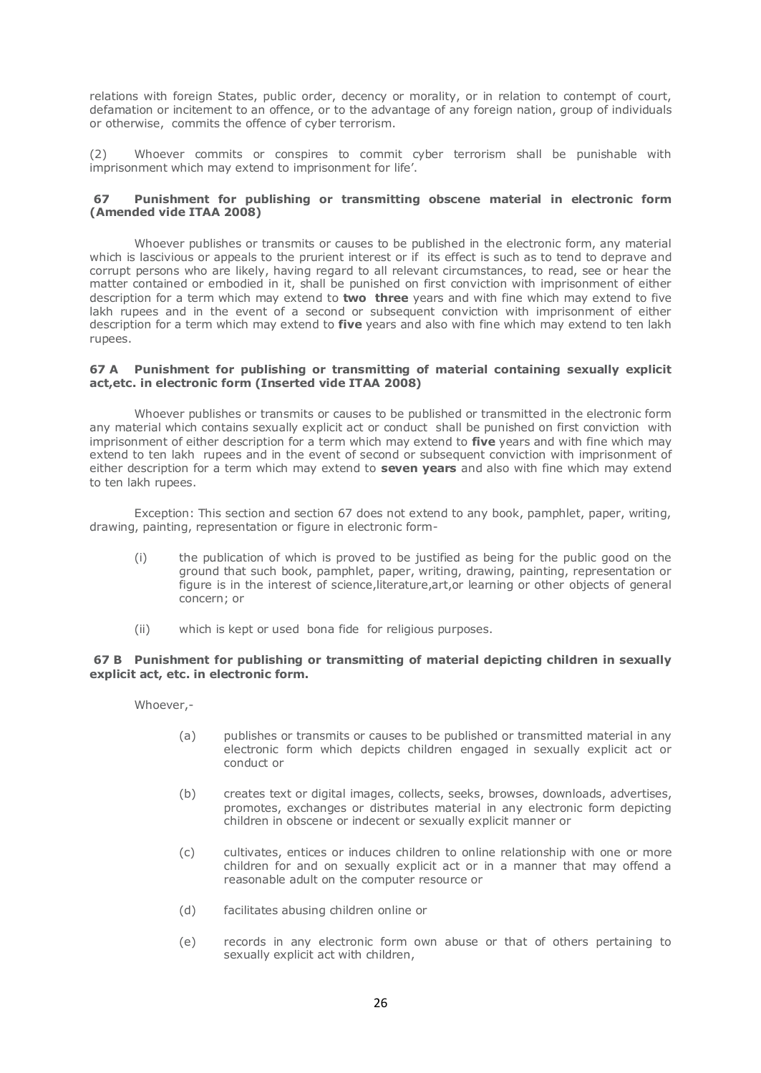relations with foreign States, public order, decency or morality, or in relation to contempt of court, defamation or incitement to an offence, or to the advantage of any foreign nation, group of individuals or otherwise, commits the offence of cyber terrorism.

(2) Whoever commits or conspires to commit cyber terrorism shall be punishable with imprisonment which may extend to imprisonment for life'.

#### **67 Punishment for publishing or transmitting obscene material in electronic form (Amended vide ITAA 2008)**

Whoever publishes or transmits or causes to be published in the electronic form, any material which is lascivious or appeals to the prurient interest or if its effect is such as to tend to deprave and corrupt persons who are likely, having regard to all relevant circumstances, to read, see or hear the matter contained or embodied in it, shall be punished on first conviction with imprisonment of either description for a term which may extend to **two three** years and with fine which may extend to five lakh rupees and in the event of a second or subsequent conviction with imprisonment of either description for a term which may extend to **five** years and also with fine which may extend to ten lakh rupees.

#### **67 A Punishment for publishing or transmitting of material containing sexually explicit act,etc. in electronic form (Inserted vide ITAA 2008)**

Whoever publishes or transmits or causes to be published or transmitted in the electronic form any material which contains sexually explicit act or conduct shall be punished on first conviction with imprisonment of either description for a term which may extend to **five** years and with fine which may extend to ten lakh rupees and in the event of second or subsequent conviction with imprisonment of either description for a term which may extend to **seven years** and also with fine which may extend to ten lakh rupees.

Exception: This section and section 67 does not extend to any book, pamphlet, paper, writing, drawing, painting, representation or figure in electronic form-

- (i) the publication of which is proved to be justified as being for the public good on the ground that such book, pamphlet, paper, writing, drawing, painting, representation or figure is in the interest of science,literature,art,or learning or other objects of general concern; or
- (ii) which is kept or used bona fide for religious purposes.

#### **67 B Punishment for publishing or transmitting of material depicting children in sexually explicit act, etc. in electronic form.**

Whoever,-

- (a) publishes or transmits or causes to be published or transmitted material in any electronic form which depicts children engaged in sexually explicit act or conduct or
- (b) creates text or digital images, collects, seeks, browses, downloads, advertises, promotes, exchanges or distributes material in any electronic form depicting children in obscene or indecent or sexually explicit manner or
- (c) cultivates, entices or induces children to online relationship with one or more children for and on sexually explicit act or in a manner that may offend a reasonable adult on the computer resource or
- (d) facilitates abusing children online or
- (e) records in any electronic form own abuse or that of others pertaining to sexually explicit act with children,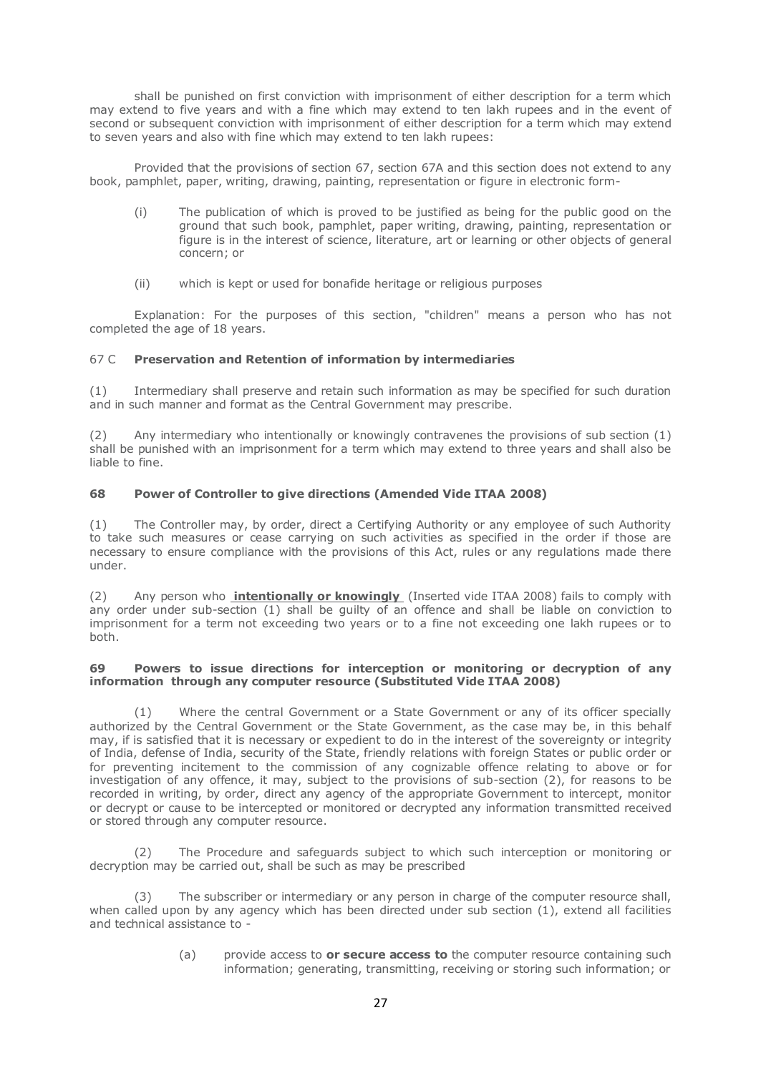shall be punished on first conviction with imprisonment of either description for a term which may extend to five years and with a fine which may extend to ten lakh rupees and in the event of second or subsequent conviction with imprisonment of either description for a term which may extend to seven years and also with fine which may extend to ten lakh rupees:

Provided that the provisions of section 67, section 67A and this section does not extend to any book, pamphlet, paper, writing, drawing, painting, representation or figure in electronic form-

- (i) The publication of which is proved to be justified as being for the public good on the ground that such book, pamphlet, paper writing, drawing, painting, representation or figure is in the interest of science, literature, art or learning or other objects of general concern; or
- (ii) which is kept or used for bonafide heritage or religious purposes

Explanation: For the purposes of this section, "children" means a person who has not completed the age of 18 years.

# 67 C **Preservation and Retention of information by intermediaries**

(1) Intermediary shall preserve and retain such information as may be specified for such duration and in such manner and format as the Central Government may prescribe.

(2) Any intermediary who intentionally or knowingly contravenes the provisions of sub section (1) shall be punished with an imprisonment for a term which may extend to three years and shall also be liable to fine.

# **68 Power of Controller to give directions (Amended Vide ITAA 2008)**

(1) The Controller may, by order, direct a Certifying Authority or any employee of such Authority to take such measures or cease carrying on such activities as specified in the order if those are necessary to ensure compliance with the provisions of this Act, rules or any regulations made there under.

(2) Any person who **intentionally or knowingly** (Inserted vide ITAA 2008) fails to comply with any order under sub-section (1) shall be guilty of an offence and shall be liable on conviction to imprisonment for a term not exceeding two years or to a fine not exceeding one lakh rupees or to both.

#### **69 Powers to issue directions for interception or monitoring or decryption of any information through any computer resource (Substituted Vide ITAA 2008)**

(1) Where the central Government or a State Government or any of its officer specially authorized by the Central Government or the State Government, as the case may be, in this behalf may, if is satisfied that it is necessary or expedient to do in the interest of the sovereignty or integrity of India, defense of India, security of the State, friendly relations with foreign States or public order or for preventing incitement to the commission of any cognizable offence relating to above or for investigation of any offence, it may, subject to the provisions of sub-section (2), for reasons to be recorded in writing, by order, direct any agency of the appropriate Government to intercept, monitor or decrypt or cause to be intercepted or monitored or decrypted any information transmitted received or stored through any computer resource.

(2) The Procedure and safeguards subject to which such interception or monitoring or decryption may be carried out, shall be such as may be prescribed

(3) The subscriber or intermediary or any person in charge of the computer resource shall, when called upon by any agency which has been directed under sub section  $(1)$ , extend all facilities and technical assistance to -

> (a) provide access to **or secure access to** the computer resource containing such information; generating, transmitting, receiving or storing such information; or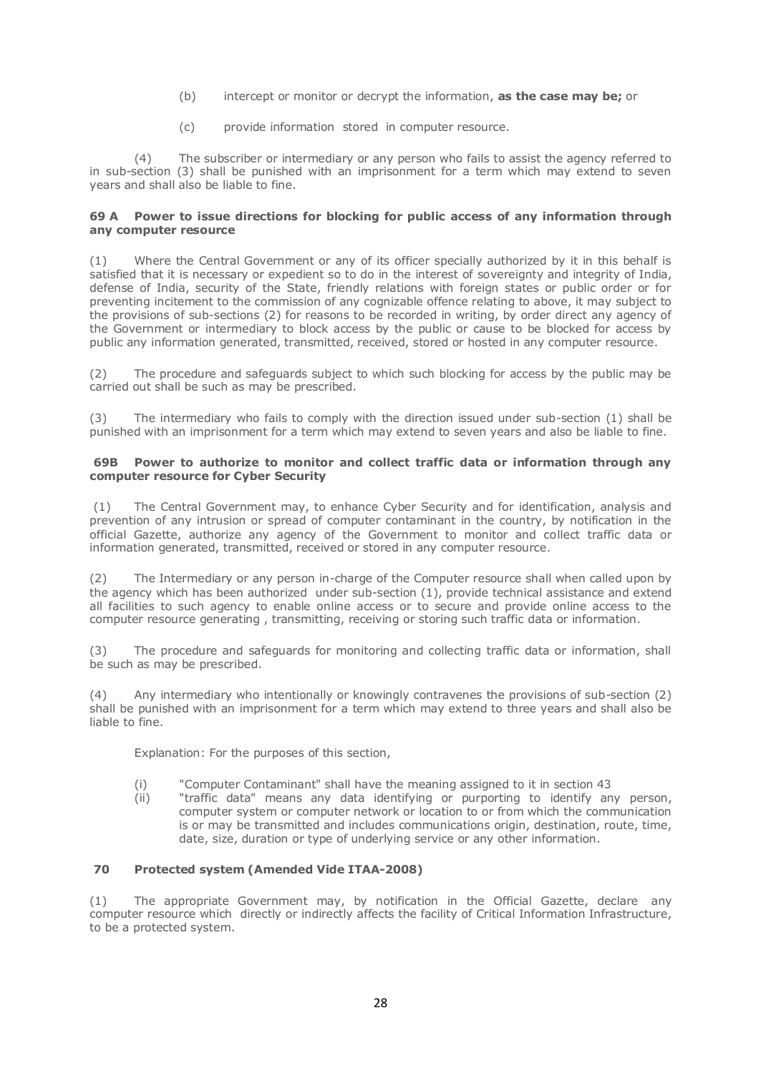- (b) intercept or monitor or decrypt the information, **as the case may be;** or
- (c) provide information stored in computer resource.

(4) The subscriber or intermediary or any person who fails to assist the agency referred to in sub-section (3) shall be punished with an imprisonment for a term which may extend to seven years and shall also be liable to fine.

#### **69 A Power to issue directions for blocking for public access of any information through any computer resource**

(1) Where the Central Government or any of its officer specially authorized by it in this behalf is satisfied that it is necessary or expedient so to do in the interest of sovereignty and integrity of India, defense of India, security of the State, friendly relations with foreign states or public order or for preventing incitement to the commission of any cognizable offence relating to above, it may subject to the provisions of sub-sections (2) for reasons to be recorded in writing, by order direct any agency of the Government or intermediary to block access by the public or cause to be blocked for access by public any information generated, transmitted, received, stored or hosted in any computer resource.

(2) The procedure and safeguards subject to which such blocking for access by the public may be carried out shall be such as may be prescribed.

(3) The intermediary who fails to comply with the direction issued under sub-section (1) shall be punished with an imprisonment for a term which may extend to seven years and also be liable to fine.

#### **69B Power to authorize to monitor and collect traffic data or information through any computer resource for Cyber Security**

(1) The Central Government may, to enhance Cyber Security and for identification, analysis and prevention of any intrusion or spread of computer contaminant in the country, by notification in the official Gazette, authorize any agency of the Government to monitor and collect traffic data or information generated, transmitted, received or stored in any computer resource.

(2) The Intermediary or any person in-charge of the Computer resource shall when called upon by the agency which has been authorized under sub-section (1), provide technical assistance and extend all facilities to such agency to enable online access or to secure and provide online access to the computer resource generating , transmitting, receiving or storing such traffic data or information.

(3) The procedure and safeguards for monitoring and collecting traffic data or information, shall be such as may be prescribed.

(4) Any intermediary who intentionally or knowingly contravenes the provisions of sub-section (2) shall be punished with an imprisonment for a term which may extend to three years and shall also be liable to fine.

Explanation: For the purposes of this section,

- (i) "Computer Contaminant" shall have the meaning assigned to it in section 43
- (ii) "traffic data" means any data identifying or purporting to identify any person, computer system or computer network or location to or from which the communication is or may be transmitted and includes communications origin, destination, route, time, date, size, duration or type of underlying service or any other information.

# **70 Protected system (Amended Vide ITAA-2008)**

(1) The appropriate Government may, by notification in the Official Gazette, declare any computer resource which directly or indirectly affects the facility of Critical Information Infrastructure, to be a protected system.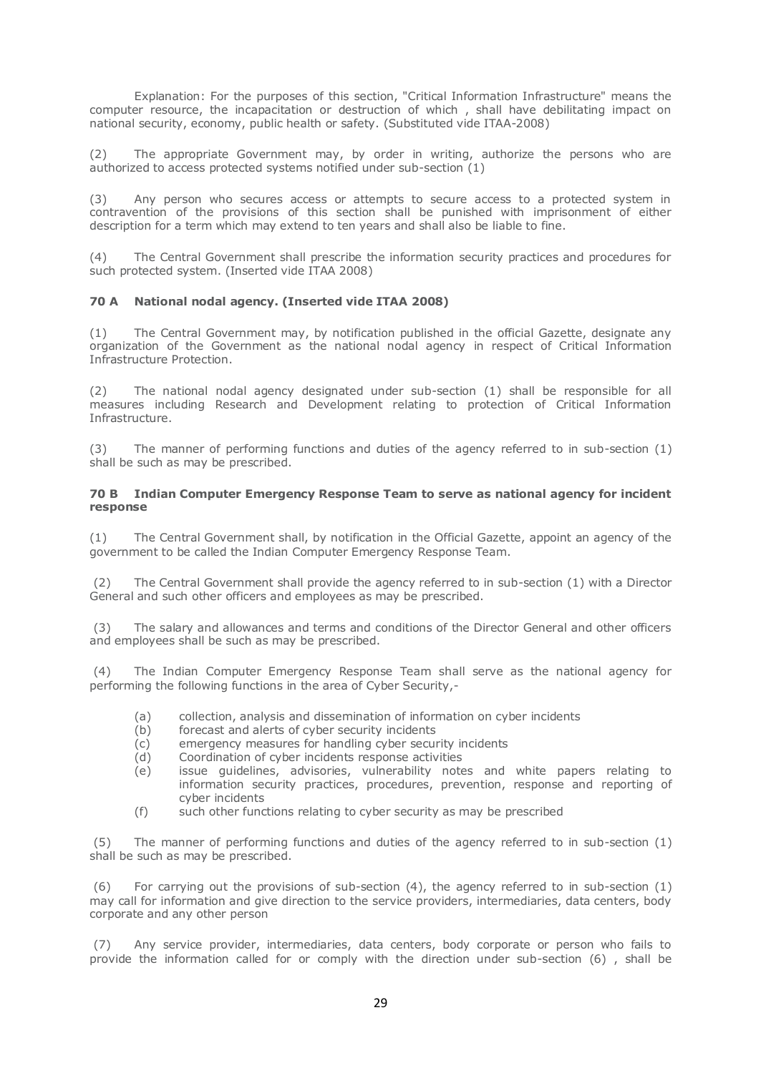Explanation: For the purposes of this section, "Critical Information Infrastructure" means the computer resource, the incapacitation or destruction of which , shall have debilitating impact on national security, economy, public health or safety. (Substituted vide ITAA-2008)

(2) The appropriate Government may, by order in writing, authorize the persons who are authorized to access protected systems notified under sub-section (1)

(3) Any person who secures access or attempts to secure access to a protected system in contravention of the provisions of this section shall be punished with imprisonment of either description for a term which may extend to ten years and shall also be liable to fine.

(4) The Central Government shall prescribe the information security practices and procedures for such protected system. (Inserted vide ITAA 2008)

# **70 A National nodal agency. (Inserted vide ITAA 2008)**

(1) The Central Government may, by notification published in the official Gazette, designate any organization of the Government as the national nodal agency in respect of Critical Information Infrastructure Protection.

(2) The national nodal agency designated under sub-section (1) shall be responsible for all measures including Research and Development relating to protection of Critical Information Infrastructure.

(3) The manner of performing functions and duties of the agency referred to in sub-section (1) shall be such as may be prescribed.

#### **70 B Indian Computer Emergency Response Team to serve as national agency for incident response**

(1) The Central Government shall, by notification in the Official Gazette, appoint an agency of the government to be called the Indian Computer Emergency Response Team.

(2) The Central Government shall provide the agency referred to in sub-section (1) with a Director General and such other officers and employees as may be prescribed.

(3) The salary and allowances and terms and conditions of the Director General and other officers and employees shall be such as may be prescribed.

(4) The Indian Computer Emergency Response Team shall serve as the national agency for performing the following functions in the area of Cyber Security,-

- (a) collection, analysis and dissemination of information on cyber incidents
- (b) forecast and alerts of cyber security incidents
- (c) emergency measures for handling cyber security incidents
- (d) Coordination of cyber incidents response activities
- (e) issue guidelines, advisories, vulnerability notes and white papers relating to information security practices, procedures, prevention, response and reporting of cyber incidents
- (f) such other functions relating to cyber security as may be prescribed

(5) The manner of performing functions and duties of the agency referred to in sub-section (1) shall be such as may be prescribed.

(6) For carrying out the provisions of sub-section (4), the agency referred to in sub-section (1) may call for information and give direction to the service providers, intermediaries, data centers, body corporate and any other person

(7) Any service provider, intermediaries, data centers, body corporate or person who fails to provide the information called for or comply with the direction under sub-section (6) , shall be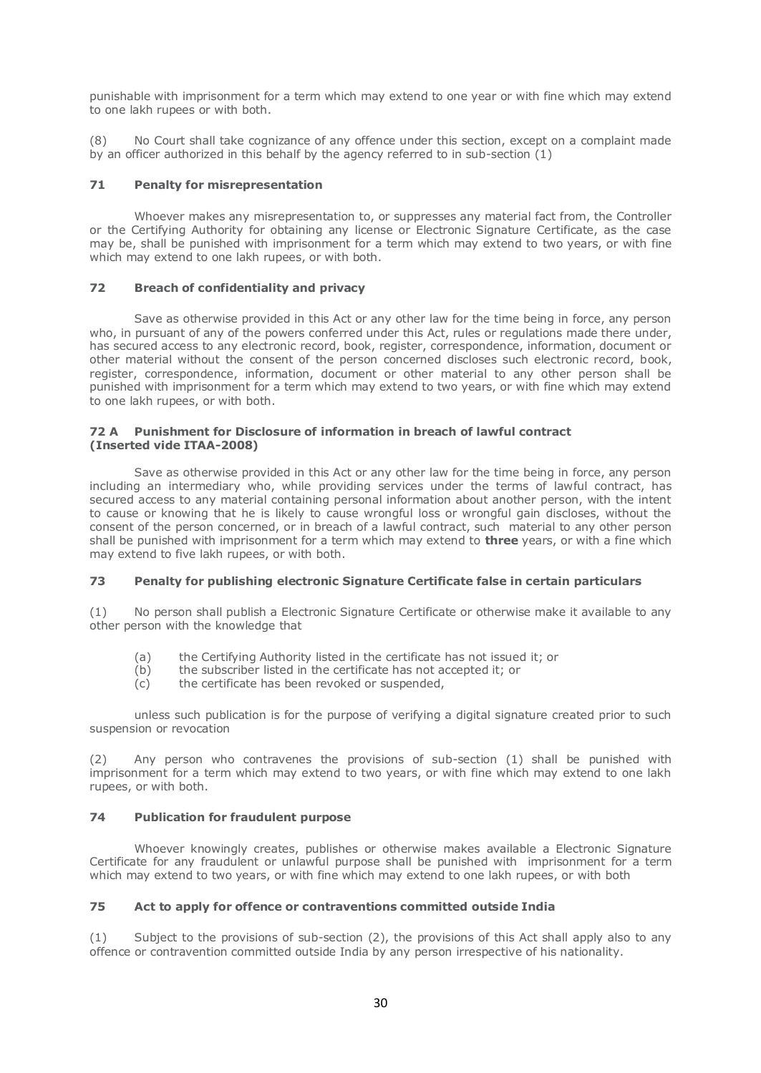punishable with imprisonment for a term which may extend to one year or with fine which may extend to one lakh rupees or with both.

(8) No Court shall take cognizance of any offence under this section, except on a complaint made by an officer authorized in this behalf by the agency referred to in sub-section (1)

#### **71 Penalty for misrepresentation**

Whoever makes any misrepresentation to, or suppresses any material fact from, the Controller or the Certifying Authority for obtaining any license or Electronic Signature Certificate, as the case may be, shall be punished with imprisonment for a term which may extend to two years, or with fine which may extend to one lakh rupees, or with both.

#### **72 Breach of confidentiality and privacy**

Save as otherwise provided in this Act or any other law for the time being in force, any person who, in pursuant of any of the powers conferred under this Act, rules or regulations made there under, has secured access to any electronic record, book, register, correspondence, information, document or other material without the consent of the person concerned discloses such electronic record, book, register, correspondence, information, document or other material to any other person shall be punished with imprisonment for a term which may extend to two years, or with fine which may extend to one lakh rupees, or with both.

#### **72 A Punishment for Disclosure of information in breach of lawful contract (Inserted vide ITAA-2008)**

Save as otherwise provided in this Act or any other law for the time being in force, any person including an intermediary who, while providing services under the terms of lawful contract, has secured access to any material containing personal information about another person, with the intent to cause or knowing that he is likely to cause wrongful loss or wrongful gain discloses, without the consent of the person concerned, or in breach of a lawful contract, such material to any other person shall be punished with imprisonment for a term which may extend to **three** years, or with a fine which may extend to five lakh rupees, or with both.

#### **73 Penalty for publishing electronic Signature Certificate false in certain particulars**

(1) No person shall publish a Electronic Signature Certificate or otherwise make it available to any other person with the knowledge that

- (a) the Certifying Authority listed in the certificate has not issued it; or
- (b) the subscriber listed in the certificate has not accepted it; or  $(c)$  the certificate has been revoked or suspended.
- the certificate has been revoked or suspended,

unless such publication is for the purpose of verifying a digital signature created prior to such suspension or revocation

(2) Any person who contravenes the provisions of sub-section (1) shall be punished with imprisonment for a term which may extend to two years, or with fine which may extend to one lakh rupees, or with both.

# **74 Publication for fraudulent purpose**

Whoever knowingly creates, publishes or otherwise makes available a Electronic Signature Certificate for any fraudulent or unlawful purpose shall be punished with imprisonment for a term which may extend to two years, or with fine which may extend to one lakh rupees, or with both

# **75 Act to apply for offence or contraventions committed outside India**

(1) Subject to the provisions of sub-section (2), the provisions of this Act shall apply also to any offence or contravention committed outside India by any person irrespective of his nationality.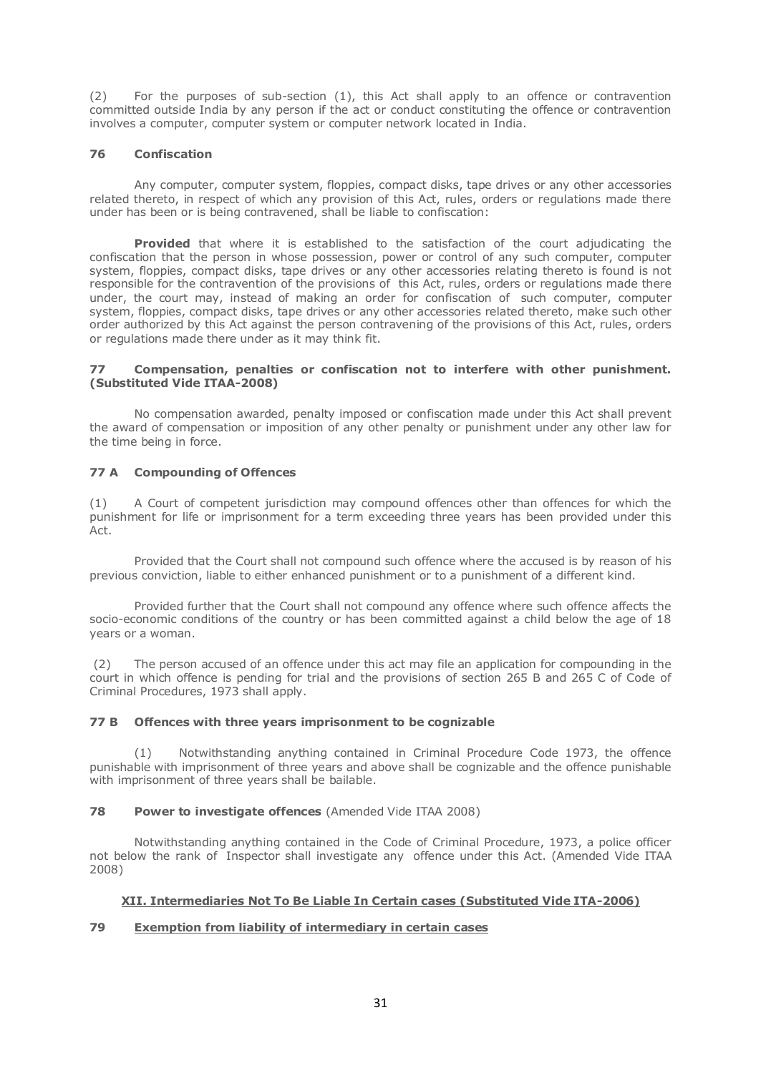(2) For the purposes of sub-section (1), this Act shall apply to an offence or contravention committed outside India by any person if the act or conduct constituting the offence or contravention involves a computer, computer system or computer network located in India.

# **76 Confiscation**

Any computer, computer system, floppies, compact disks, tape drives or any other accessories related thereto, in respect of which any provision of this Act, rules, orders or regulations made there under has been or is being contravened, shall be liable to confiscation:

**Provided** that where it is established to the satisfaction of the court adjudicating the confiscation that the person in whose possession, power or control of any such computer, computer system, floppies, compact disks, tape drives or any other accessories relating thereto is found is not responsible for the contravention of the provisions of this Act, rules, orders or regulations made there under, the court may, instead of making an order for confiscation of such computer, computer system, floppies, compact disks, tape drives or any other accessories related thereto, make such other order authorized by this Act against the person contravening of the provisions of this Act, rules, orders or regulations made there under as it may think fit.

# **77 Compensation, penalties or confiscation not to interfere with other punishment. (Substituted Vide ITAA-2008)**

No compensation awarded, penalty imposed or confiscation made under this Act shall prevent the award of compensation or imposition of any other penalty or punishment under any other law for the time being in force.

# **77 A Compounding of Offences**

(1) A Court of competent jurisdiction may compound offences other than offences for which the punishment for life or imprisonment for a term exceeding three years has been provided under this Act.

Provided that the Court shall not compound such offence where the accused is by reason of his previous conviction, liable to either enhanced punishment or to a punishment of a different kind.

Provided further that the Court shall not compound any offence where such offence affects the socio-economic conditions of the country or has been committed against a child below the age of 18 years or a woman.

(2) The person accused of an offence under this act may file an application for compounding in the court in which offence is pending for trial and the provisions of section 265 B and 265 C of Code of Criminal Procedures, 1973 shall apply.

# **77 B Offences with three years imprisonment to be cognizable**

(1) Notwithstanding anything contained in Criminal Procedure Code 1973, the offence punishable with imprisonment of three years and above shall be cognizable and the offence punishable with imprisonment of three years shall be bailable.

# **78 Power to investigate offences** (Amended Vide ITAA 2008)

Notwithstanding anything contained in the Code of Criminal Procedure, 1973, a police officer not below the rank of Inspector shall investigate any offence under this Act. (Amended Vide ITAA 2008)

# **XII. Intermediaries Not To Be Liable In Certain cases (Substituted Vide ITA-2006)**

# **79 Exemption from liability of intermediary in certain cases**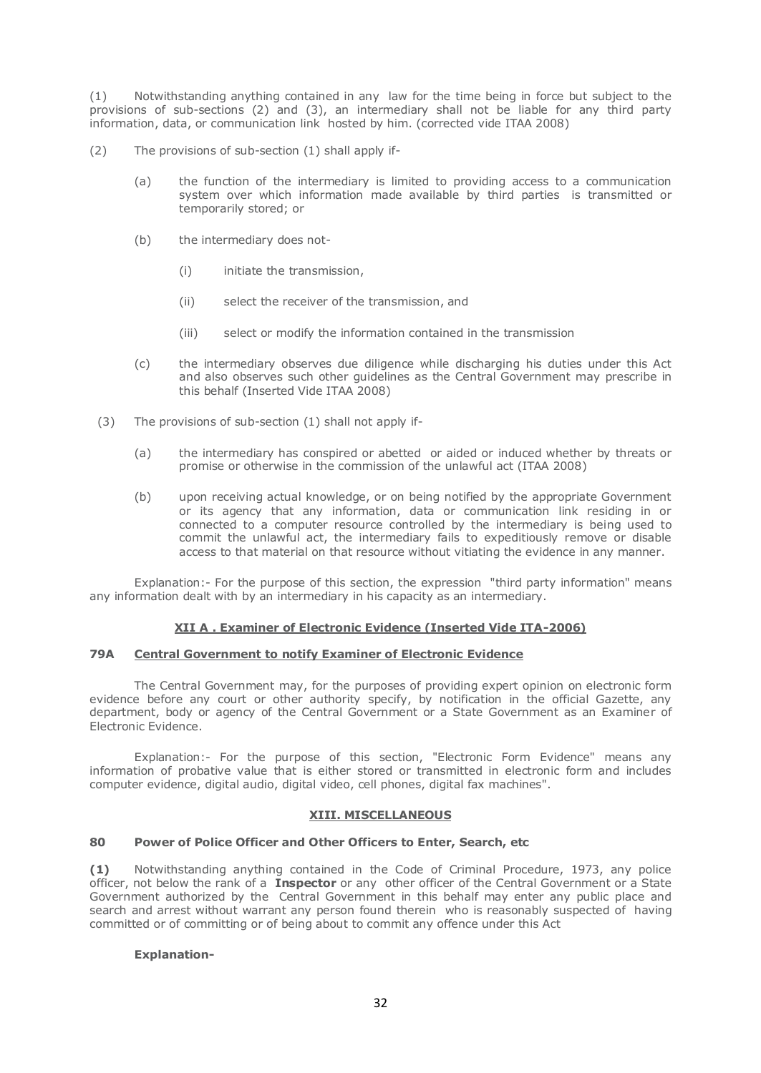(1) Notwithstanding anything contained in any law for the time being in force but subject to the provisions of sub-sections (2) and (3), an intermediary shall not be liable for any third party information, data, or communication link hosted by him. (corrected vide ITAA 2008)

- (2) The provisions of sub-section (1) shall apply if-
	- (a) the function of the intermediary is limited to providing access to a communication system over which information made available by third parties is transmitted or temporarily stored; or
	- (b) the intermediary does not-
		- (i) initiate the transmission,
		- (ii) select the receiver of the transmission, and
		- (iii) select or modify the information contained in the transmission
	- (c) the intermediary observes due diligence while discharging his duties under this Act and also observes such other guidelines as the Central Government may prescribe in this behalf (Inserted Vide ITAA 2008)
- (3) The provisions of sub-section (1) shall not apply if-
	- (a) the intermediary has conspired or abetted or aided or induced whether by threats or promise or otherwise in the commission of the unlawful act (ITAA 2008)
	- (b) upon receiving actual knowledge, or on being notified by the appropriate Government or its agency that any information, data or communication link residing in or connected to a computer resource controlled by the intermediary is being used to commit the unlawful act, the intermediary fails to expeditiously remove or disable access to that material on that resource without vitiating the evidence in any manner.

Explanation:- For the purpose of this section, the expression "third party information" means any information dealt with by an intermediary in his capacity as an intermediary.

# **XII A . Examiner of Electronic Evidence (Inserted Vide ITA-2006)**

#### **79A Central Government to notify Examiner of Electronic Evidence**

The Central Government may, for the purposes of providing expert opinion on electronic form evidence before any court or other authority specify, by notification in the official Gazette, any department, body or agency of the Central Government or a State Government as an Examiner of Electronic Evidence.

Explanation:- For the purpose of this section, "Electronic Form Evidence" means any information of probative value that is either stored or transmitted in electronic form and includes computer evidence, digital audio, digital video, cell phones, digital fax machines".

#### **XIII. MISCELLANEOUS**

#### **80 Power of Police Officer and Other Officers to Enter, Search, etc**

**(1)** Notwithstanding anything contained in the Code of Criminal Procedure, 1973, any police officer, not below the rank of a **Inspector** or any other officer of the Central Government or a State Government authorized by the Central Government in this behalf may enter any public place and search and arrest without warrant any person found therein who is reasonably suspected of having committed or of committing or of being about to commit any offence under this Act

#### **Explanation-**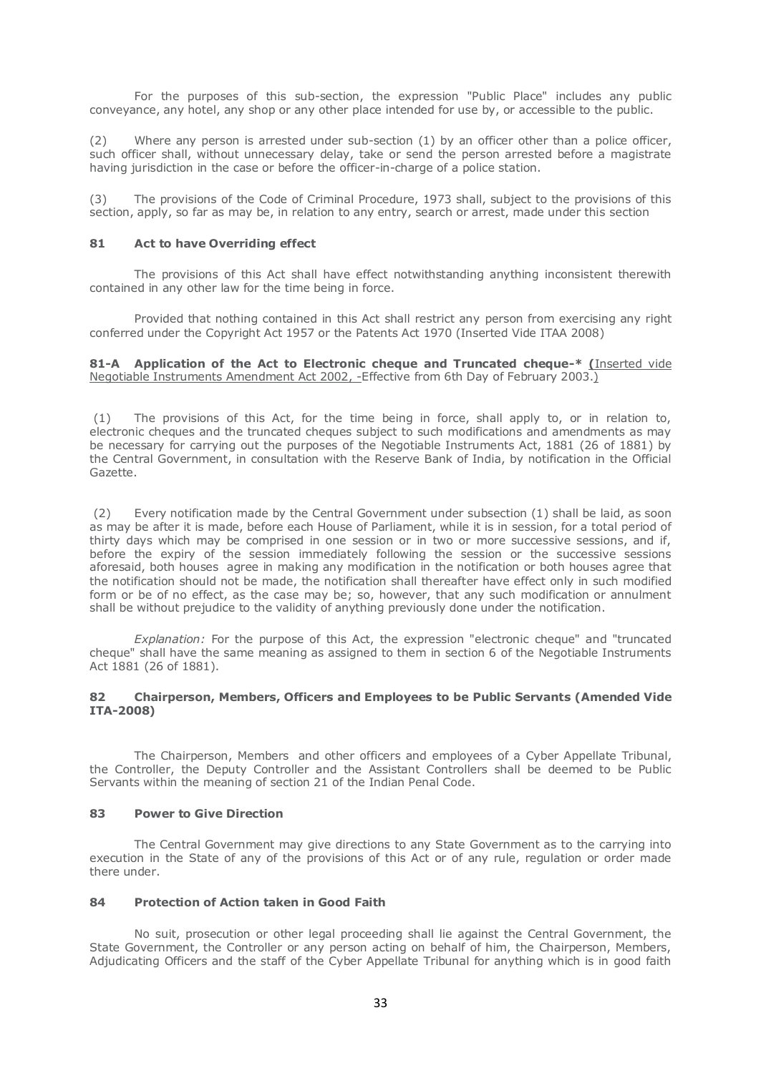For the purposes of this sub-section, the expression "Public Place" includes any public conveyance, any hotel, any shop or any other place intended for use by, or accessible to the public.

(2) Where any person is arrested under sub-section (1) by an officer other than a police officer, such officer shall, without unnecessary delay, take or send the person arrested before a magistrate having jurisdiction in the case or before the officer-in-charge of a police station.

(3) The provisions of the Code of Criminal Procedure, 1973 shall, subject to the provisions of this section, apply, so far as may be, in relation to any entry, search or arrest, made under this section

#### **81 Act to have Overriding effect**

The provisions of this Act shall have effect notwithstanding anything inconsistent therewith contained in any other law for the time being in force.

Provided that nothing contained in this Act shall restrict any person from exercising any right conferred under the Copyright Act 1957 or the Patents Act 1970 (Inserted Vide ITAA 2008)

#### **81-A Application of the Act to Electronic cheque and Truncated cheque-\* (**Inserted vide Negotiable Instruments Amendment Act 2002, -Effective from 6th Day of February 2003.)

(1) The provisions of this Act, for the time being in force, shall apply to, or in relation to, electronic cheques and the truncated cheques subject to such modifications and amendments as may be necessary for carrying out the purposes of the Negotiable Instruments Act, 1881 (26 of 1881) by the Central Government, in consultation with the Reserve Bank of India, by notification in the Official Gazette.

(2) Every notification made by the Central Government under subsection (1) shall be laid, as soon as may be after it is made, before each House of Parliament, while it is in session, for a total period of thirty days which may be comprised in one session or in two or more successive sessions, and if, before the expiry of the session immediately following the session or the successive sessions aforesaid, both houses agree in making any modification in the notification or both houses agree that the notification should not be made, the notification shall thereafter have effect only in such modified form or be of no effect, as the case may be; so, however, that any such modification or annulment shall be without prejudice to the validity of anything previously done under the notification.

*Explanation:* For the purpose of this Act, the expression "electronic cheque" and "truncated cheque" shall have the same meaning as assigned to them in section 6 of the Negotiable Instruments Act 1881 (26 of 1881).

#### **82 Chairperson, Members, Officers and Employees to be Public Servants (Amended Vide ITA-2008)**

The Chairperson, Members and other officers and employees of a Cyber Appellate Tribunal, the Controller, the Deputy Controller and the Assistant Controllers shall be deemed to be Public Servants within the meaning of section 21 of the Indian Penal Code.

#### **83 Power to Give Direction**

The Central Government may give directions to any State Government as to the carrying into execution in the State of any of the provisions of this Act or of any rule, regulation or order made there under.

#### **84 Protection of Action taken in Good Faith**

No suit, prosecution or other legal proceeding shall lie against the Central Government, the State Government, the Controller or any person acting on behalf of him, the Chairperson, Members, Adjudicating Officers and the staff of the Cyber Appellate Tribunal for anything which is in good faith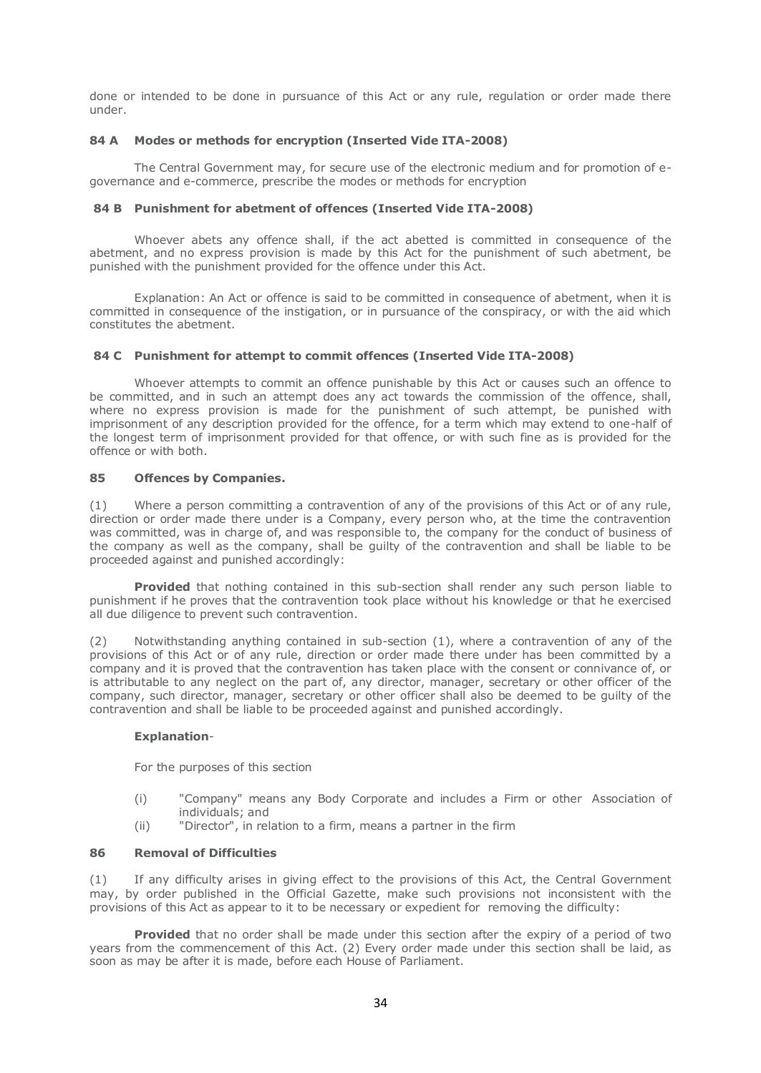done or intended to be done in pursuance of this Act or any rule, regulation or order made there under.

# **84 A Modes or methods for encryption (Inserted Vide ITA-2008)**

The Central Government may, for secure use of the electronic medium and for promotion of egovernance and e-commerce, prescribe the modes or methods for encryption

# **84 B Punishment for abetment of offences (Inserted Vide ITA-2008)**

Whoever abets any offence shall, if the act abetted is committed in consequence of the abetment, and no express provision is made by this Act for the punishment of such abetment, be punished with the punishment provided for the offence under this Act.

Explanation: An Act or offence is said to be committed in consequence of abetment, when it is committed in consequence of the instigation, or in pursuance of the conspiracy, or with the aid which constitutes the abetment.

#### **84 C Punishment for attempt to commit offences (Inserted Vide ITA-2008)**

Whoever attempts to commit an offence punishable by this Act or causes such an offence to be committed, and in such an attempt does any act towards the commission of the offence, shall, where no express provision is made for the punishment of such attempt, be punished with imprisonment of any description provided for the offence, for a term which may extend to one-half of the longest term of imprisonment provided for that offence, or with such fine as is provided for the offence or with both.

# **85 Offences by Companies.**

(1) Where a person committing a contravention of any of the provisions of this Act or of any rule, direction or order made there under is a Company, every person who, at the time the contravention was committed, was in charge of, and was responsible to, the company for the conduct of business of the company as well as the company, shall be guilty of the contravention and shall be liable to be proceeded against and punished accordingly:

**Provided** that nothing contained in this sub-section shall render any such person liable to punishment if he proves that the contravention took place without his knowledge or that he exercised all due diligence to prevent such contravention.

(2) Notwithstanding anything contained in sub-section (1), where a contravention of any of the provisions of this Act or of any rule, direction or order made there under has been committed by a company and it is proved that the contravention has taken place with the consent or connivance of, or is attributable to any neglect on the part of, any director, manager, secretary or other officer of the company, such director, manager, secretary or other officer shall also be deemed to be guilty of the contravention and shall be liable to be proceeded against and punished accordingly.

#### **Explanation**-

For the purposes of this section

- (i) "Company" means any Body Corporate and includes a Firm or other Association of individuals; and
- (ii) "Director", in relation to a firm, means a partner in the firm

#### **86 Removal of Difficulties**

(1) If any difficulty arises in giving effect to the provisions of this Act, the Central Government may, by order published in the Official Gazette, make such provisions not inconsistent with the provisions of this Act as appear to it to be necessary or expedient for removing the difficulty:

**Provided** that no order shall be made under this section after the expiry of a period of two years from the commencement of this Act. (2) Every order made under this section shall be laid, as soon as may be after it is made, before each House of Parliament.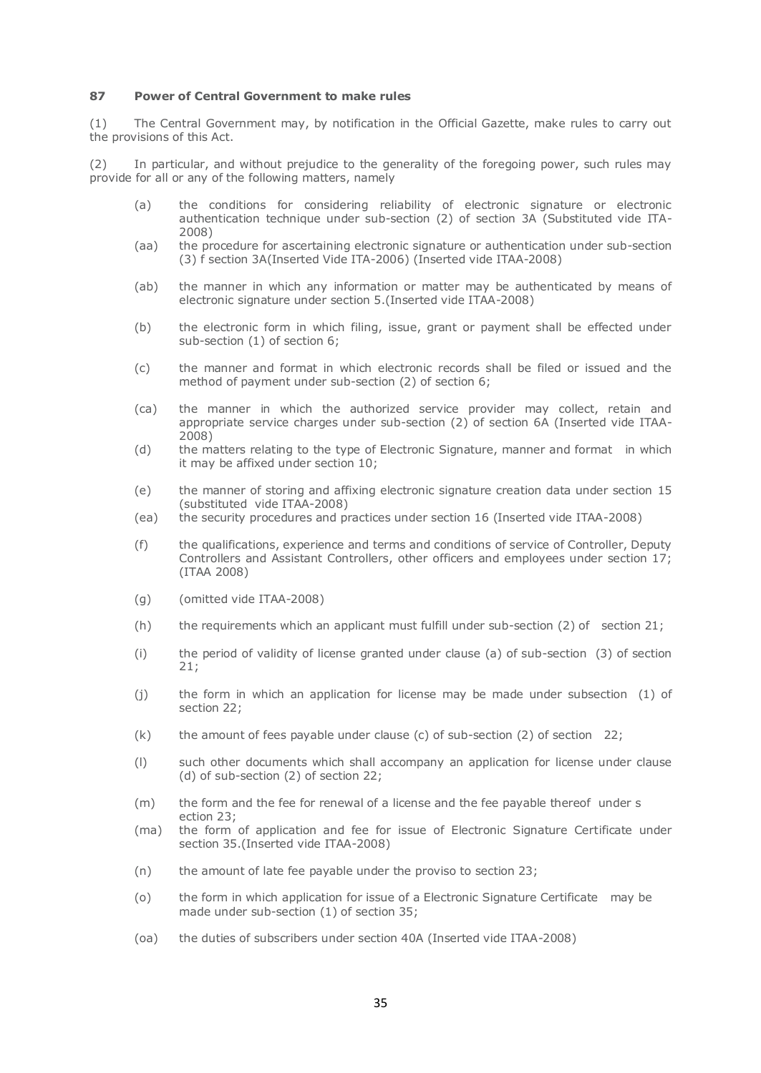#### **87 Power of Central Government to make rules**

(1) The Central Government may, by notification in the Official Gazette, make rules to carry out the provisions of this Act.

(2) In particular, and without prejudice to the generality of the foregoing power, such rules may provide for all or any of the following matters, namely

- (a) the conditions for considering reliability of electronic signature or electronic authentication technique under sub-section (2) of section 3A (Substituted vide ITA-2008)
- (aa) the procedure for ascertaining electronic signature or authentication under sub-section (3) f section 3A(Inserted Vide ITA-2006) (Inserted vide ITAA-2008)
- (ab) the manner in which any information or matter may be authenticated by means of electronic signature under section 5.(Inserted vide ITAA-2008)
- (b) the electronic form in which filing, issue, grant or payment shall be effected under sub-section (1) of section 6;
- (c) the manner and format in which electronic records shall be filed or issued and the method of payment under sub-section (2) of section 6;
- (ca) the manner in which the authorized service provider may collect, retain and appropriate service charges under sub-section (2) of section 6A (Inserted vide ITAA-2008)
- (d) the matters relating to the type of Electronic Signature, manner and format in which it may be affixed under section 10;
- (e) the manner of storing and affixing electronic signature creation data under section 15 (substituted vide ITAA-2008)
- (ea) the security procedures and practices under section 16 (Inserted vide ITAA-2008)
- (f) the qualifications, experience and terms and conditions of service of Controller, Deputy Controllers and Assistant Controllers, other officers and employees under section 17; (ITAA 2008)
- (g) (omitted vide ITAA-2008)
- (h) the requirements which an applicant must fulfill under sub-section (2) of section 21;
- (i) the period of validity of license granted under clause (a) of sub-section (3) of section 21;
- (j) the form in which an application for license may be made under subsection (1) of section 22;
- $(k)$  the amount of fees payable under clause (c) of sub-section  $(2)$  of section  $22$ ;
- (l) such other documents which shall accompany an application for license under clause (d) of sub-section (2) of section 22;
- (m) the form and the fee for renewal of a license and the fee payable thereof under s ection 23;
- (ma) the form of application and fee for issue of Electronic Signature Certificate under section 35.(Inserted vide ITAA-2008)
- (n) the amount of late fee payable under the proviso to section 23;
- (o) the form in which application for issue of a Electronic Signature Certificate may be made under sub-section (1) of section 35;
- (oa) the duties of subscribers under section 40A (Inserted vide ITAA-2008)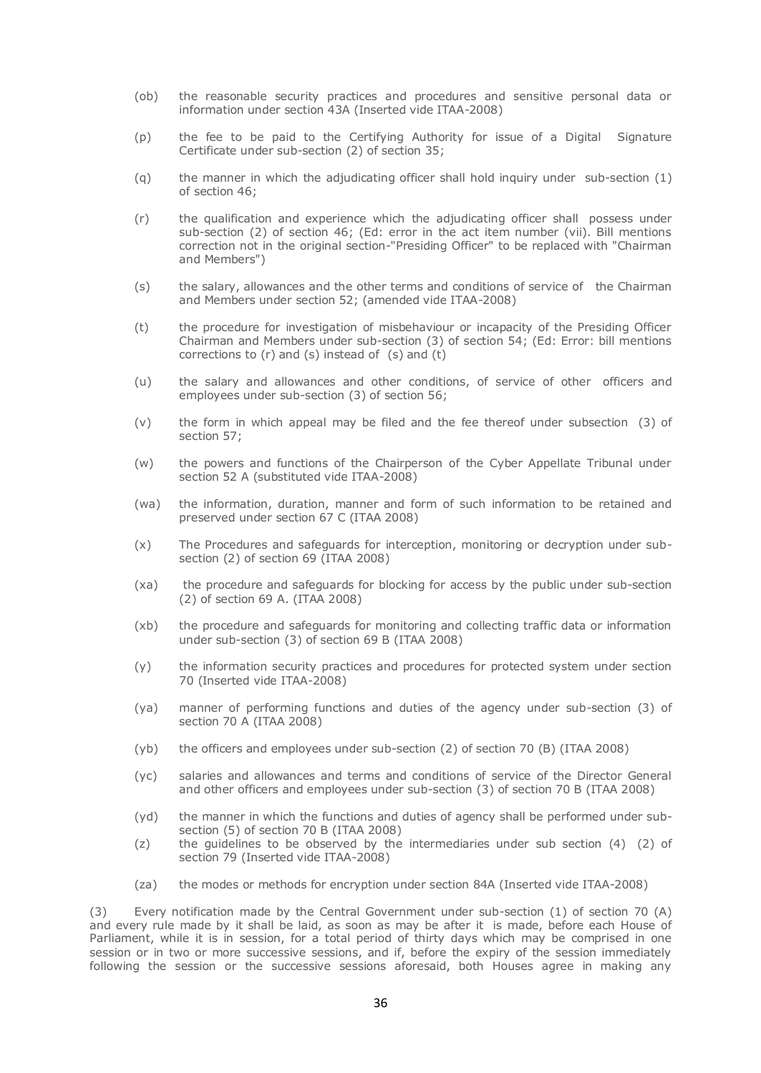- (ob) the reasonable security practices and procedures and sensitive personal data or information under section 43A (Inserted vide ITAA-2008)
- (p) the fee to be paid to the Certifying Authority for issue of a Digital Signature Certificate under sub-section (2) of section 35;
- (q) the manner in which the adjudicating officer shall hold inquiry under sub-section (1) of section 46;
- (r) the qualification and experience which the adjudicating officer shall possess under sub-section (2) of section 46; (Ed: error in the act item number (vii). Bill mentions correction not in the original section-"Presiding Officer" to be replaced with "Chairman and Members")
- (s) the salary, allowances and the other terms and conditions of service of the Chairman and Members under section 52; (amended vide ITAA-2008)
- (t) the procedure for investigation of misbehaviour or incapacity of the Presiding Officer Chairman and Members under sub-section (3) of section 54; (Ed: Error: bill mentions corrections to (r) and (s) instead of (s) and (t)
- (u) the salary and allowances and other conditions, of service of other officers and employees under sub-section (3) of section 56;
- (v) the form in which appeal may be filed and the fee thereof under subsection (3) of section 57;
- (w) the powers and functions of the Chairperson of the Cyber Appellate Tribunal under section 52 A (substituted vide ITAA-2008)
- (wa) the information, duration, manner and form of such information to be retained and preserved under section 67 C (ITAA 2008)
- (x) The Procedures and safeguards for interception, monitoring or decryption under subsection (2) of section 69 (ITAA 2008)
- (xa) the procedure and safeguards for blocking for access by the public under sub-section (2) of section 69 A. (ITAA 2008)
- (xb) the procedure and safeguards for monitoring and collecting traffic data or information under sub-section (3) of section 69 B (ITAA 2008)
- (y) the information security practices and procedures for protected system under section 70 (Inserted vide ITAA-2008)
- (ya) manner of performing functions and duties of the agency under sub-section (3) of section 70 A (ITAA 2008)
- (yb) the officers and employees under sub-section (2) of section 70 (B) (ITAA 2008)
- (yc) salaries and allowances and terms and conditions of service of the Director General and other officers and employees under sub-section (3) of section 70 B (ITAA 2008)
- (yd) the manner in which the functions and duties of agency shall be performed under subsection (5) of section 70 B (ITAA 2008)
- (z) the guidelines to be observed by the intermediaries under sub section (4) (2) of section 79 (Inserted vide ITAA-2008)
- (za) the modes or methods for encryption under section 84A (Inserted vide ITAA-2008)

(3) Every notification made by the Central Government under sub-section (1) of section 70 (A) and every rule made by it shall be laid, as soon as may be after it is made, before each House of Parliament, while it is in session, for a total period of thirty days which may be comprised in one session or in two or more successive sessions, and if, before the expiry of the session immediately following the session or the successive sessions aforesaid, both Houses agree in making any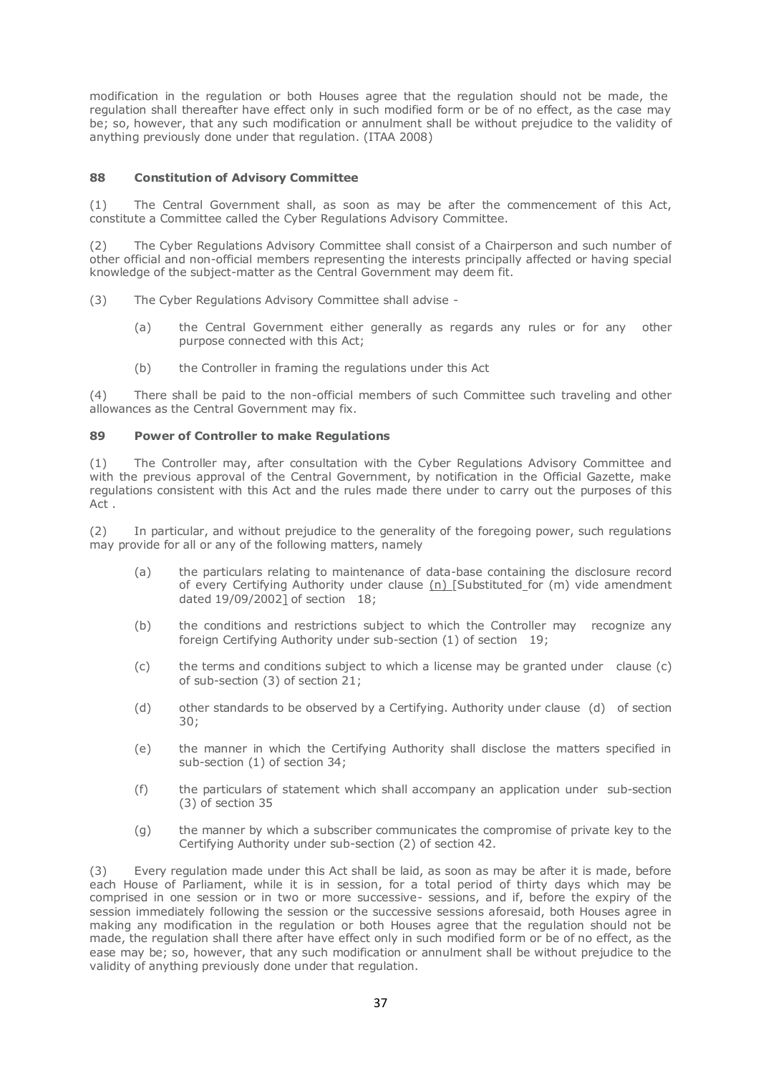modification in the regulation or both Houses agree that the regulation should not be made, the regulation shall thereafter have effect only in such modified form or be of no effect, as the case may be; so, however, that any such modification or annulment shall be without prejudice to the validity of anything previously done under that regulation. (ITAA 2008)

# **88 Constitution of Advisory Committee**

(1) The Central Government shall, as soon as may be after the commencement of this Act, constitute a Committee called the Cyber Regulations Advisory Committee.

(2) The Cyber Regulations Advisory Committee shall consist of a Chairperson and such number of other official and non-official members representing the interests principally affected or having special knowledge of the subject-matter as the Central Government may deem fit.

- (3) The Cyber Regulations Advisory Committee shall advise
	- (a) the Central Government either generally as regards any rules or for any other purpose connected with this Act;
	- (b) the Controller in framing the regulations under this Act

(4) There shall be paid to the non-official members of such Committee such traveling and other allowances as the Central Government may fix.

# **89 Power of Controller to make Regulations**

(1) The Controller may, after consultation with the Cyber Regulations Advisory Committee and with the previous approval of the Central Government, by notification in the Official Gazette, make regulations consistent with this Act and the rules made there under to carry out the purposes of this Act .

(2) In particular, and without prejudice to the generality of the foregoing power, such regulations may provide for all or any of the following matters, namely

- (a) the particulars relating to maintenance of data-base containing the disclosure record of every Certifying Authority under clause  $(n)$  [Substituted for (m) vide amendment dated 19/09/2002] of section 18;
- (b) the conditions and restrictions subject to which the Controller may recognize any foreign Certifying Authority under sub-section (1) of section 19;
- (c) the terms and conditions subject to which a license may be granted under clause (c) of sub-section (3) of section 21;
- (d) other standards to be observed by a Certifying. Authority under clause (d) of section 30;
- (e) the manner in which the Certifying Authority shall disclose the matters specified in sub-section (1) of section 34;
- (f) the particulars of statement which shall accompany an application under sub-section (3) of section 35
- (g) the manner by which a subscriber communicates the compromise of private key to the Certifying Authority under sub-section (2) of section 42.

(3) Every regulation made under this Act shall be laid, as soon as may be after it is made, before each House of Parliament, while it is in session, for a total period of thirty days which may be comprised in one session or in two or more successive- sessions, and if, before the expiry of the session immediately following the session or the successive sessions aforesaid, both Houses agree in making any modification in the regulation or both Houses agree that the regulation should not be made, the regulation shall there after have effect only in such modified form or be of no effect, as the ease may be; so, however, that any such modification or annulment shall be without prejudice to the validity of anything previously done under that regulation.